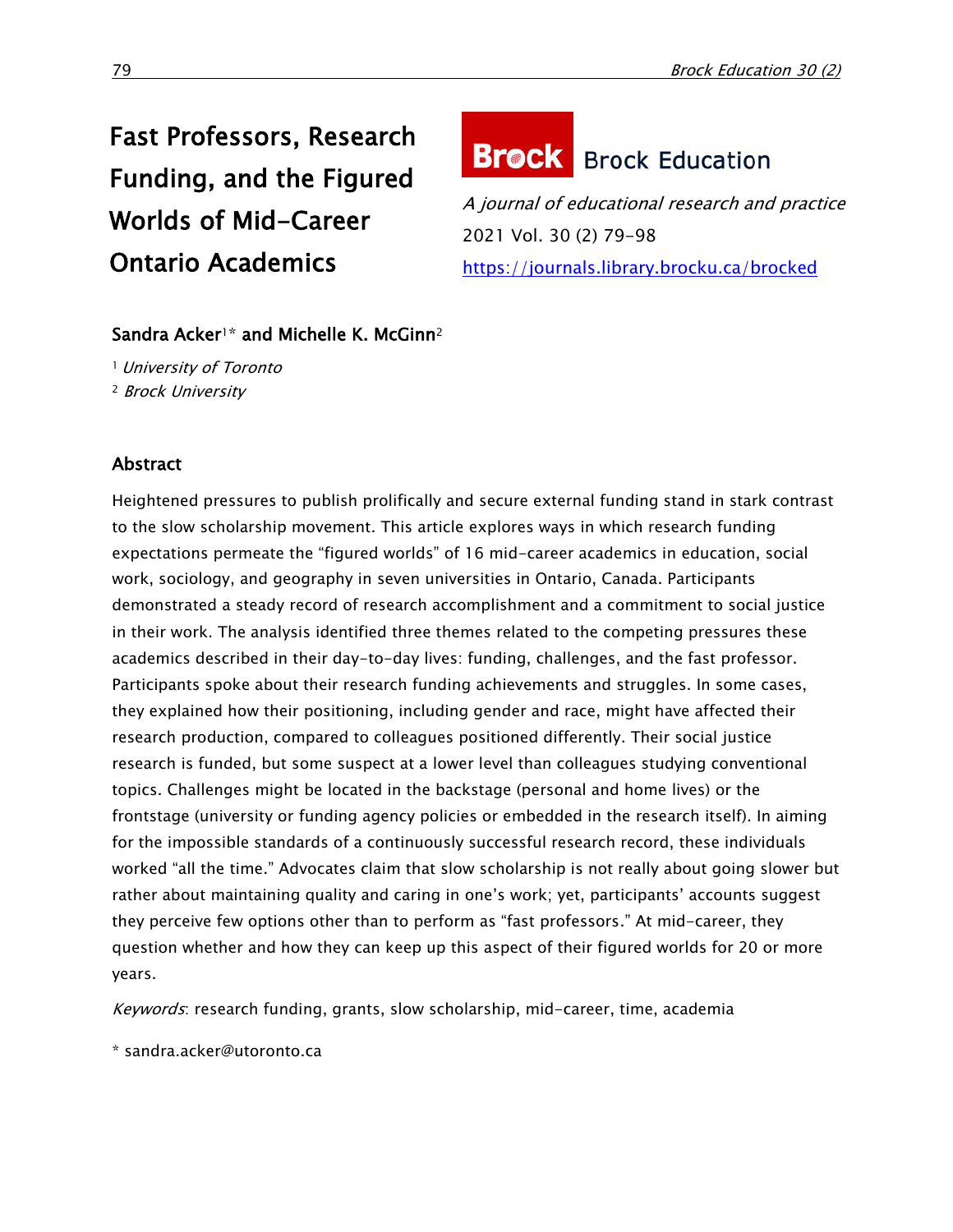# Fast Professors, Research Funding, and the Figured Worlds of Mid-Career Ontario Academics



A journal of educational research and practice 2021 Vol. 30 (2) 79-98 <https://journals.library.brocku.ca/brocked>

# Sandra Acker<sup>1\*</sup> and Michelle K. McGinn<sup>2</sup>

<sup>1</sup> University of Toronto <sup>2</sup> Brock University

# Abstract

Heightened pressures to publish prolifically and secure external funding stand in stark contrast to the slow scholarship movement. This article explores ways in which research funding expectations permeate the "figured worlds" of 16 mid-career academics in education, social work, sociology, and geography in seven universities in Ontario, Canada. Participants demonstrated a steady record of research accomplishment and a commitment to social justice in their work. The analysis identified three themes related to the competing pressures these academics described in their day-to-day lives: funding, challenges, and the fast professor. Participants spoke about their research funding achievements and struggles. In some cases, they explained how their positioning, including gender and race, might have affected their research production, compared to colleagues positioned differently. Their social justice research is funded, but some suspect at a lower level than colleagues studying conventional topics. Challenges might be located in the backstage (personal and home lives) or the frontstage (university or funding agency policies or embedded in the research itself). In aiming for the impossible standards of a continuously successful research record, these individuals worked "all the time." Advocates claim that slow scholarship is not really about going slower but rather about maintaining quality and caring in one's work; yet, participants' accounts suggest they perceive few options other than to perform as "fast professors." At mid-career, they question whether and how they can keep up this aspect of their figured worlds for 20 or more years.

Keywords: research funding, grants, slow scholarship, mid-career, time, academia

\* sandra.acker@utoronto.ca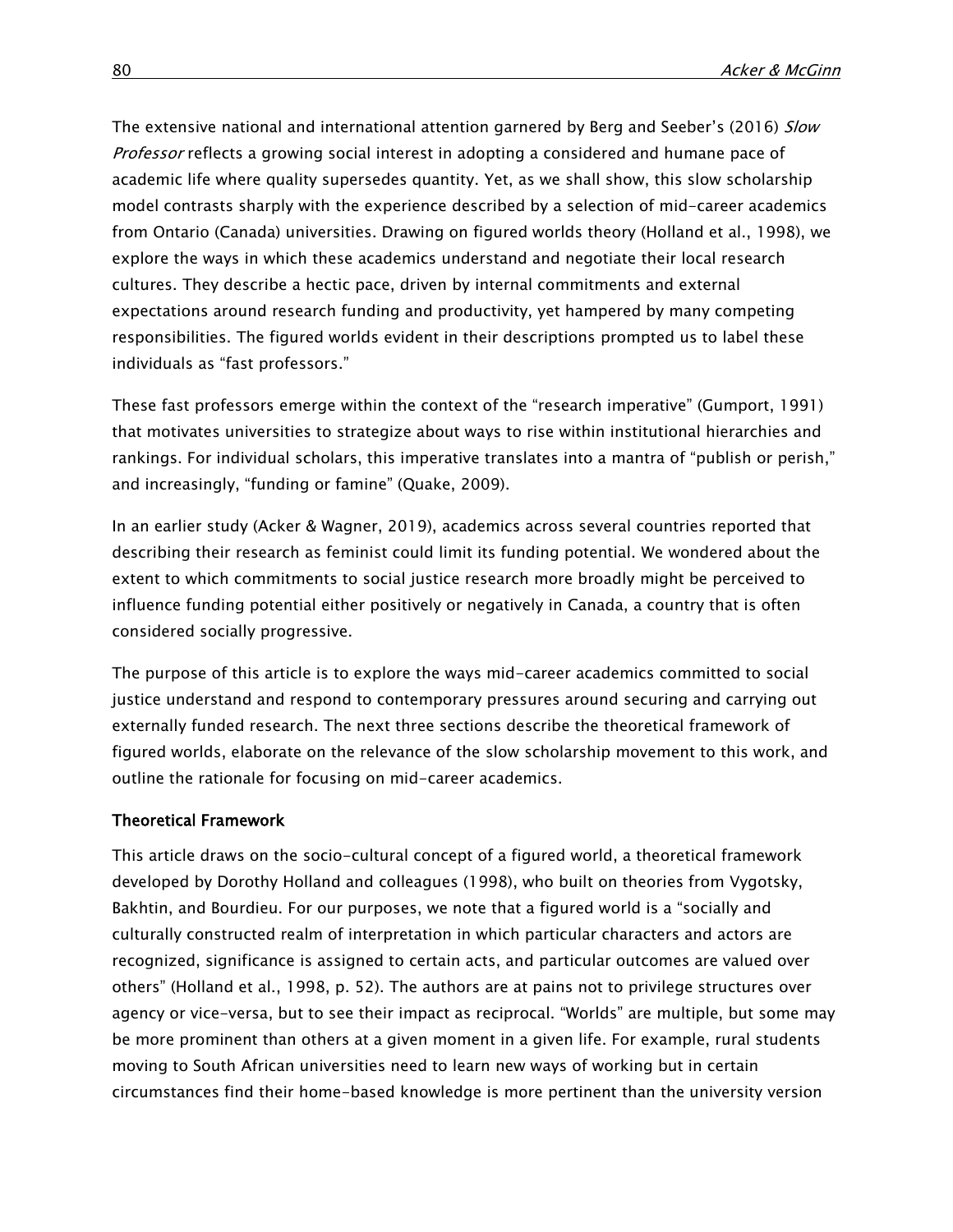The extensive national and international attention garnered by Berg and Seeber's (2016) Slow Professor reflects a growing social interest in adopting a considered and humane pace of academic life where quality supersedes quantity. Yet, as we shall show, this slow scholarship model contrasts sharply with the experience described by a selection of mid-career academics from Ontario (Canada) universities. Drawing on figured worlds theory (Holland et al., 1998), we explore the ways in which these academics understand and negotiate their local research cultures. They describe a hectic pace, driven by internal commitments and external expectations around research funding and productivity, yet hampered by many competing responsibilities. The figured worlds evident in their descriptions prompted us to label these individuals as "fast professors."

These fast professors emerge within the context of the "research imperative" (Gumport, 1991) that motivates universities to strategize about ways to rise within institutional hierarchies and rankings. For individual scholars, this imperative translates into a mantra of "publish or perish," and increasingly, "funding or famine" (Quake, 2009).

In an earlier study (Acker & Wagner, 2019), academics across several countries reported that describing their research as feminist could limit its funding potential. We wondered about the extent to which commitments to social justice research more broadly might be perceived to influence funding potential either positively or negatively in Canada, a country that is often considered socially progressive.

The purpose of this article is to explore the ways mid-career academics committed to social justice understand and respond to contemporary pressures around securing and carrying out externally funded research. The next three sections describe the theoretical framework of figured worlds, elaborate on the relevance of the slow scholarship movement to this work, and outline the rationale for focusing on mid-career academics.

# Theoretical Framework

This article draws on the socio-cultural concept of a figured world, a theoretical framework developed by Dorothy Holland and colleagues (1998), who built on theories from Vygotsky, Bakhtin, and Bourdieu. For our purposes, we note that a figured world is a "socially and culturally constructed realm of interpretation in which particular characters and actors are recognized, significance is assigned to certain acts, and particular outcomes are valued over others" (Holland et al., 1998, p. 52). The authors are at pains not to privilege structures over agency or vice-versa, but to see their impact as reciprocal. "Worlds" are multiple, but some may be more prominent than others at a given moment in a given life. For example, rural students moving to South African universities need to learn new ways of working but in certain circumstances find their home-based knowledge is more pertinent than the university version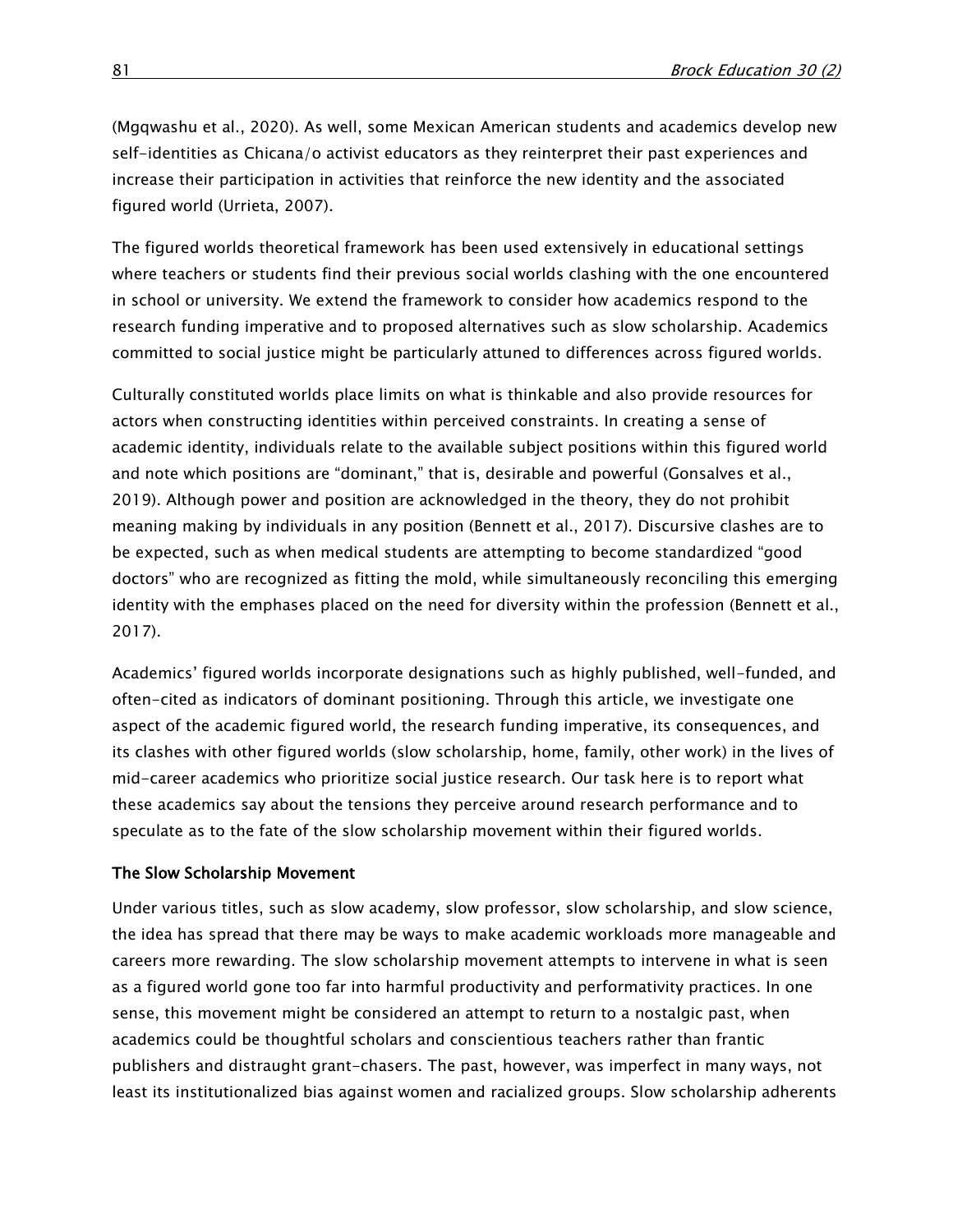(Mgqwashu et al., 2020). As well, some Mexican American students and academics develop new self-identities as Chicana/o activist educators as they reinterpret their past experiences and increase their participation in activities that reinforce the new identity and the associated figured world (Urrieta, 2007).

The figured worlds theoretical framework has been used extensively in educational settings where teachers or students find their previous social worlds clashing with the one encountered in school or university. We extend the framework to consider how academics respond to the research funding imperative and to proposed alternatives such as slow scholarship. Academics committed to social justice might be particularly attuned to differences across figured worlds.

Culturally constituted worlds place limits on what is thinkable and also provide resources for actors when constructing identities within perceived constraints. In creating a sense of academic identity, individuals relate to the available subject positions within this figured world and note which positions are "dominant," that is, desirable and powerful (Gonsalves et al., 2019). Although power and position are acknowledged in the theory, they do not prohibit meaning making by individuals in any position (Bennett et al., 2017). Discursive clashes are to be expected, such as when medical students are attempting to become standardized "good doctors" who are recognized as fitting the mold, while simultaneously reconciling this emerging identity with the emphases placed on the need for diversity within the profession (Bennett et al., 2017).

Academics' figured worlds incorporate designations such as highly published, well-funded, and often-cited as indicators of dominant positioning. Through this article, we investigate one aspect of the academic figured world, the research funding imperative, its consequences, and its clashes with other figured worlds (slow scholarship, home, family, other work) in the lives of mid-career academics who prioritize social justice research. Our task here is to report what these academics say about the tensions they perceive around research performance and to speculate as to the fate of the slow scholarship movement within their figured worlds.

#### The Slow Scholarship Movement

Under various titles, such as slow academy, slow professor, slow scholarship, and slow science, the idea has spread that there may be ways to make academic workloads more manageable and careers more rewarding. The slow scholarship movement attempts to intervene in what is seen as a figured world gone too far into harmful productivity and performativity practices. In one sense, this movement might be considered an attempt to return to a nostalgic past, when academics could be thoughtful scholars and conscientious teachers rather than frantic publishers and distraught grant-chasers. The past, however, was imperfect in many ways, not least its institutionalized bias against women and racialized groups. Slow scholarship adherents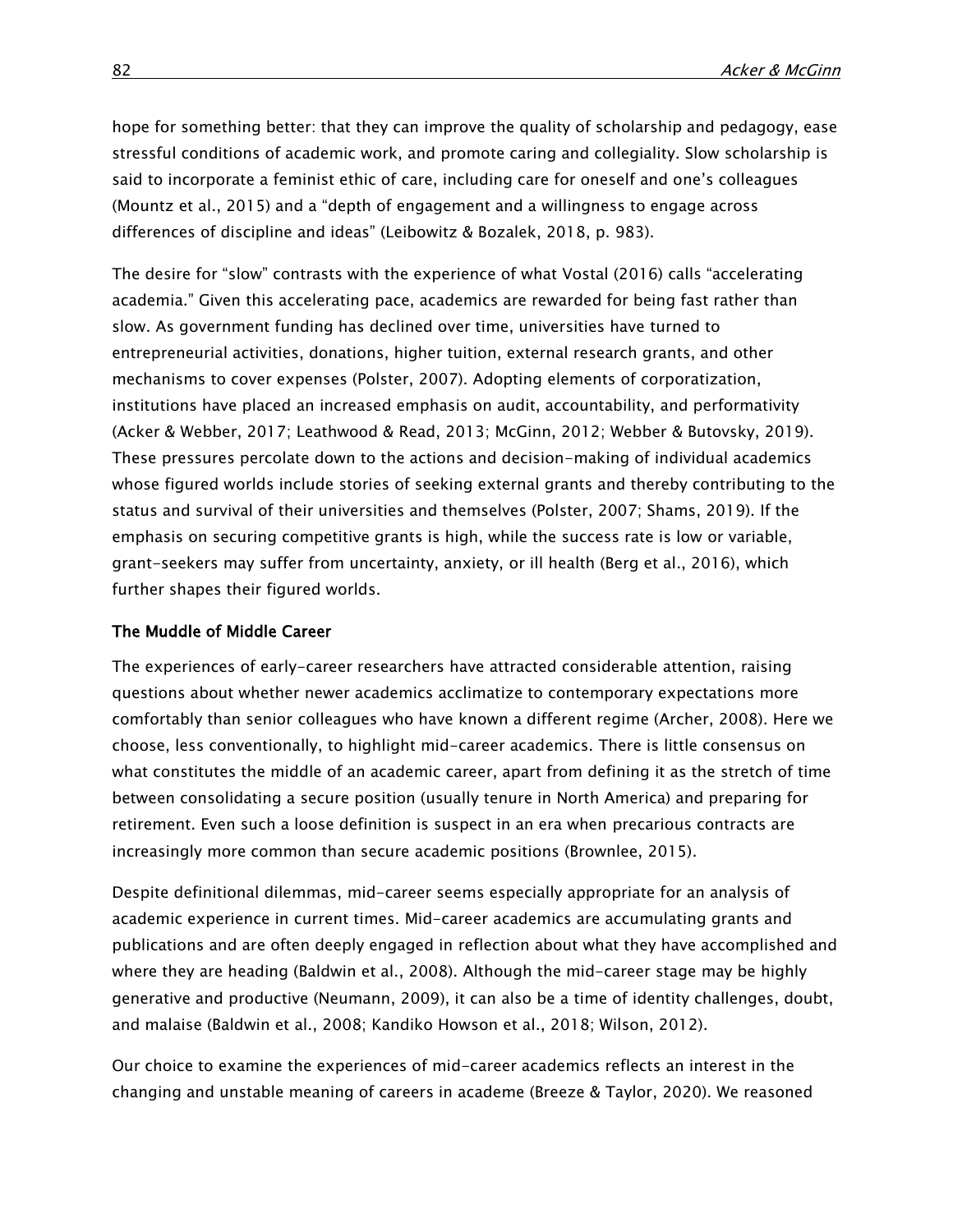hope for something better: that they can improve the quality of scholarship and pedagogy, ease stressful conditions of academic work, and promote caring and collegiality. Slow scholarship is said to incorporate a feminist ethic of care, including care for oneself and one's colleagues (Mountz et al., 2015) and a "depth of engagement and a willingness to engage across differences of discipline and ideas" (Leibowitz & Bozalek, 2018, p. 983).

The desire for "slow" contrasts with the experience of what Vostal (2016) calls "accelerating academia." Given this accelerating pace, academics are rewarded for being fast rather than slow. As government funding has declined over time, universities have turned to entrepreneurial activities, donations, higher tuition, external research grants, and other mechanisms to cover expenses (Polster, 2007). Adopting elements of corporatization, institutions have placed an increased emphasis on audit, accountability, and performativity (Acker & Webber, 2017; Leathwood & Read, 2013; McGinn, 2012; Webber & Butovsky, 2019). These pressures percolate down to the actions and decision-making of individual academics whose figured worlds include stories of seeking external grants and thereby contributing to the status and survival of their universities and themselves (Polster, 2007; Shams, 2019). If the emphasis on securing competitive grants is high, while the success rate is low or variable, grant-seekers may suffer from uncertainty, anxiety, or ill health (Berg et al., 2016), which further shapes their figured worlds.

#### The Muddle of Middle Career

The experiences of early-career researchers have attracted considerable attention, raising questions about whether newer academics acclimatize to contemporary expectations more comfortably than senior colleagues who have known a different regime (Archer, 2008). Here we choose, less conventionally, to highlight mid-career academics. There is little consensus on what constitutes the middle of an academic career, apart from defining it as the stretch of time between consolidating a secure position (usually tenure in North America) and preparing for retirement. Even such a loose definition is suspect in an era when precarious contracts are increasingly more common than secure academic positions (Brownlee, 2015).

Despite definitional dilemmas, mid-career seems especially appropriate for an analysis of academic experience in current times. Mid-career academics are accumulating grants and publications and are often deeply engaged in reflection about what they have accomplished and where they are heading (Baldwin et al., 2008). Although the mid-career stage may be highly generative and productive (Neumann, 2009), it can also be a time of identity challenges, doubt, and malaise (Baldwin et al., 2008; Kandiko Howson et al., 2018; Wilson, 2012).

Our choice to examine the experiences of mid-career academics reflects an interest in the changing and unstable meaning of careers in academe (Breeze & Taylor, 2020). We reasoned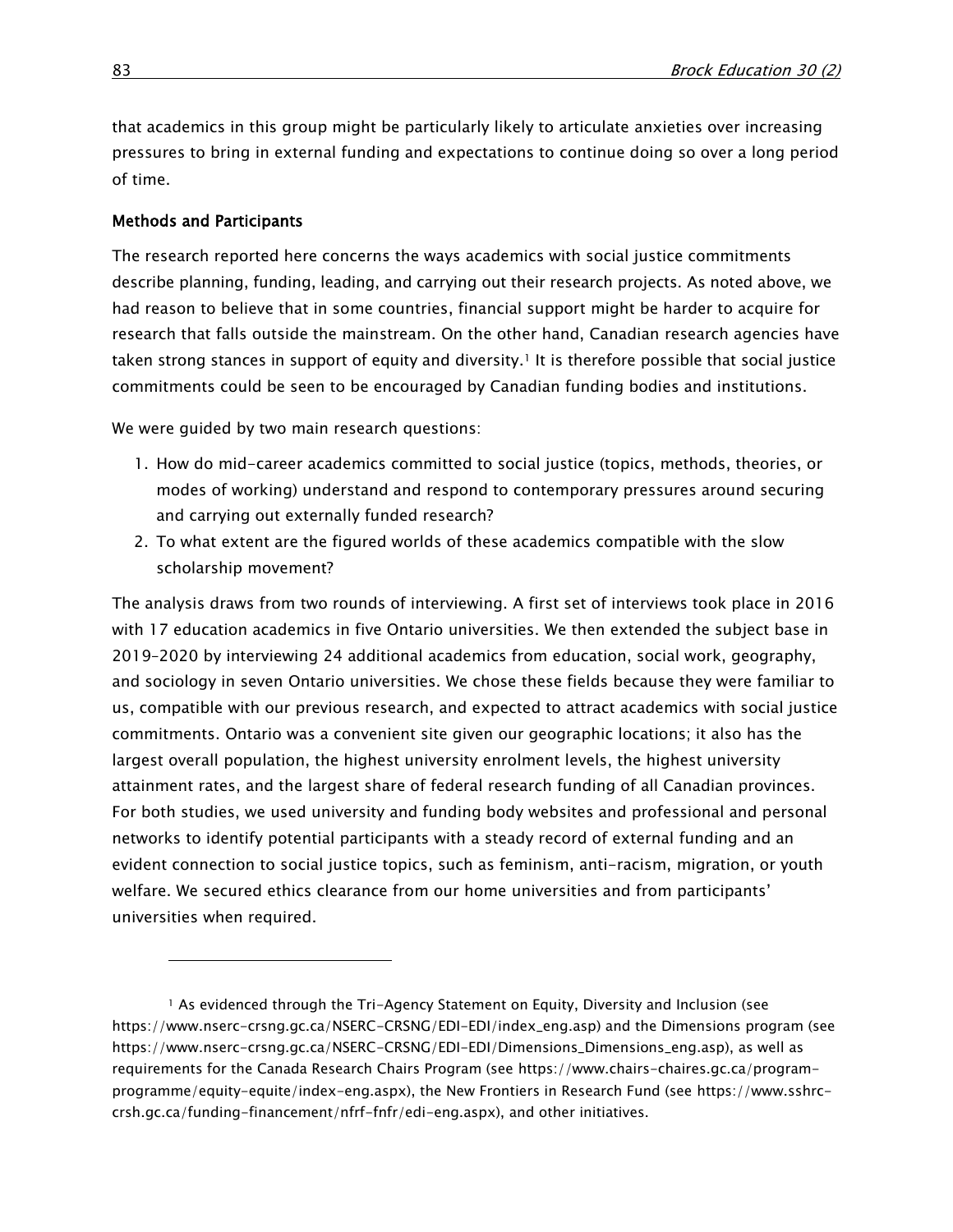that academics in this group might be particularly likely to articulate anxieties over increasing pressures to bring in external funding and expectations to continue doing so over a long period of time.

#### Methods and Participants

 $\overline{a}$ 

The research reported here concerns the ways academics with social justice commitments describe planning, funding, leading, and carrying out their research projects. As noted above, we had reason to believe that in some countries, financial support might be harder to acquire for research that falls outside the mainstream. On the other hand, Canadian research agencies have taken strong stances in support of equity and diversity.<sup>1</sup> It is therefore possible that social justice commitments could be seen to be encouraged by Canadian funding bodies and institutions.

We were guided by two main research questions:

- 1. How do mid-career academics committed to social justice (topics, methods, theories, or modes of working) understand and respond to contemporary pressures around securing and carrying out externally funded research?
- 2. To what extent are the figured worlds of these academics compatible with the slow scholarship movement?

The analysis draws from two rounds of interviewing. A first set of interviews took place in 2016 with 17 education academics in five Ontario universities. We then extended the subject base in 2019–2020 by interviewing 24 additional academics from education, social work, geography, and sociology in seven Ontario universities. We chose these fields because they were familiar to us, compatible with our previous research, and expected to attract academics with social justice commitments. Ontario was a convenient site given our geographic locations; it also has the largest overall population, the highest university enrolment levels, the highest university attainment rates, and the largest share of federal research funding of all Canadian provinces. For both studies, we used university and funding body websites and professional and personal networks to identify potential participants with a steady record of external funding and an evident connection to social justice topics, such as feminism, anti-racism, migration, or youth welfare. We secured ethics clearance from our home universities and from participants' universities when required.

<sup>&</sup>lt;sup>1</sup> As evidenced through the Tri-Agency Statement on Equity, Diversity and Inclusion (see [https://www.nserc-crsng.gc.ca/NSERC-CRSNG/EDI-EDI/index\\_eng.asp\)](https://www.nserc-crsng.gc.ca/NSERC-CRSNG/EDI-EDI/index_eng.asp) and the Dimensions program (see [https://www.nserc-crsng.gc.ca/NSERC-CRSNG/EDI-EDI/Dimensions\\_Dimensions\\_eng.asp\)](https://www.nserc-crsng.gc.ca/NSERC-CRSNG/EDI-EDI/Dimensions_Dimensions_eng.asp), as well as requirements for the Canada Research Chairs Program (see [https://www.chairs-chaires.gc.ca/program](https://www.chairs-chaires.gc.ca/program-programme/equity-equite/index-eng.aspx)[programme/equity-equite/index-eng.aspx\)](https://www.chairs-chaires.gc.ca/program-programme/equity-equite/index-eng.aspx), the New Frontiers in Research Fund (see [https://www.sshrc](https://www.sshrc-crsh.gc.ca/funding-financement/nfrf-fnfr/edi-eng.aspx)[crsh.gc.ca/funding-financement/nfrf-fnfr/edi-eng.aspx\)](https://www.sshrc-crsh.gc.ca/funding-financement/nfrf-fnfr/edi-eng.aspx), and other initiatives.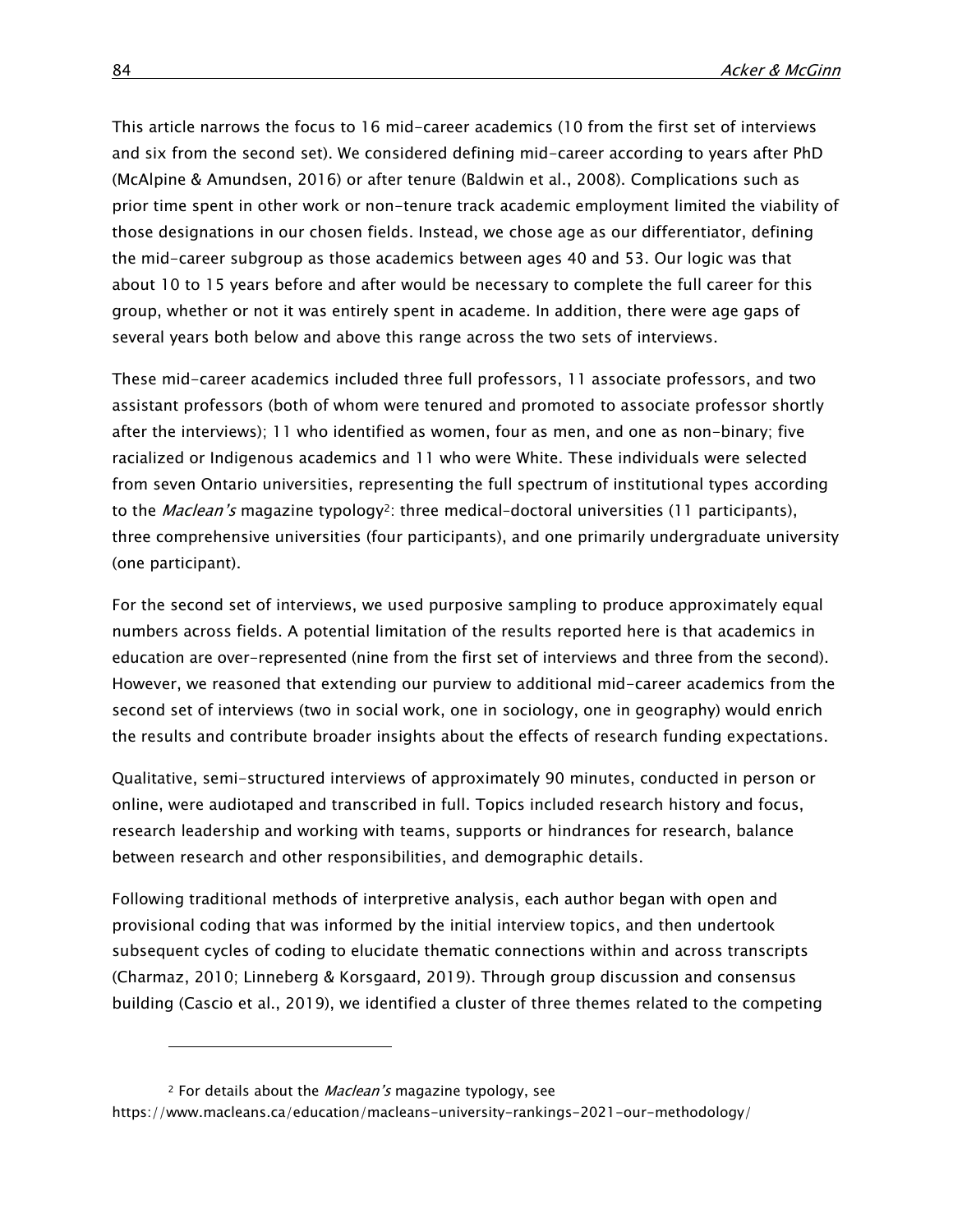This article narrows the focus to 16 mid-career academics (10 from the first set of interviews and six from the second set). We considered defining mid-career according to years after PhD (McAlpine & Amundsen, 2016) or after tenure (Baldwin et al., 2008). Complications such as prior time spent in other work or non-tenure track academic employment limited the viability of those designations in our chosen fields. Instead, we chose age as our differentiator, defining the mid-career subgroup as those academics between ages 40 and 53. Our logic was that about 10 to 15 years before and after would be necessary to complete the full career for this group, whether or not it was entirely spent in academe. In addition, there were age gaps of several years both below and above this range across the two sets of interviews.

These mid-career academics included three full professors, 11 associate professors, and two assistant professors (both of whom were tenured and promoted to associate professor shortly after the interviews); 11 who identified as women, four as men, and one as non-binary; five racialized or Indigenous academics and 11 who were White. These individuals were selected from seven Ontario universities, representing the full spectrum of institutional types according to the *Maclean's* magazine typology<sup>2</sup>: three medical-doctoral universities (11 participants), three comprehensive universities (four participants), and one primarily undergraduate university (one participant).

For the second set of interviews, we used purposive sampling to produce approximately equal numbers across fields. A potential limitation of the results reported here is that academics in education are over-represented (nine from the first set of interviews and three from the second). However, we reasoned that extending our purview to additional mid-career academics from the second set of interviews (two in social work, one in sociology, one in geography) would enrich the results and contribute broader insights about the effects of research funding expectations.

Qualitative, semi-structured interviews of approximately 90 minutes, conducted in person or online, were audiotaped and transcribed in full. Topics included research history and focus, research leadership and working with teams, supports or hindrances for research, balance between research and other responsibilities, and demographic details.

Following traditional methods of interpretive analysis, each author began with open and provisional coding that was informed by the initial interview topics, and then undertook subsequent cycles of coding to elucidate thematic connections within and across transcripts (Charmaz, 2010; Linneberg & Korsgaard, 2019). Through group discussion and consensus building (Cascio et al., 2019), we identified a cluster of three themes related to the competing

 $\overline{a}$ 

<sup>&</sup>lt;sup>2</sup> For details about the *Maclean's* magazine typology, see

<https://www.macleans.ca/education/macleans-university-rankings-2021-our-methodology/>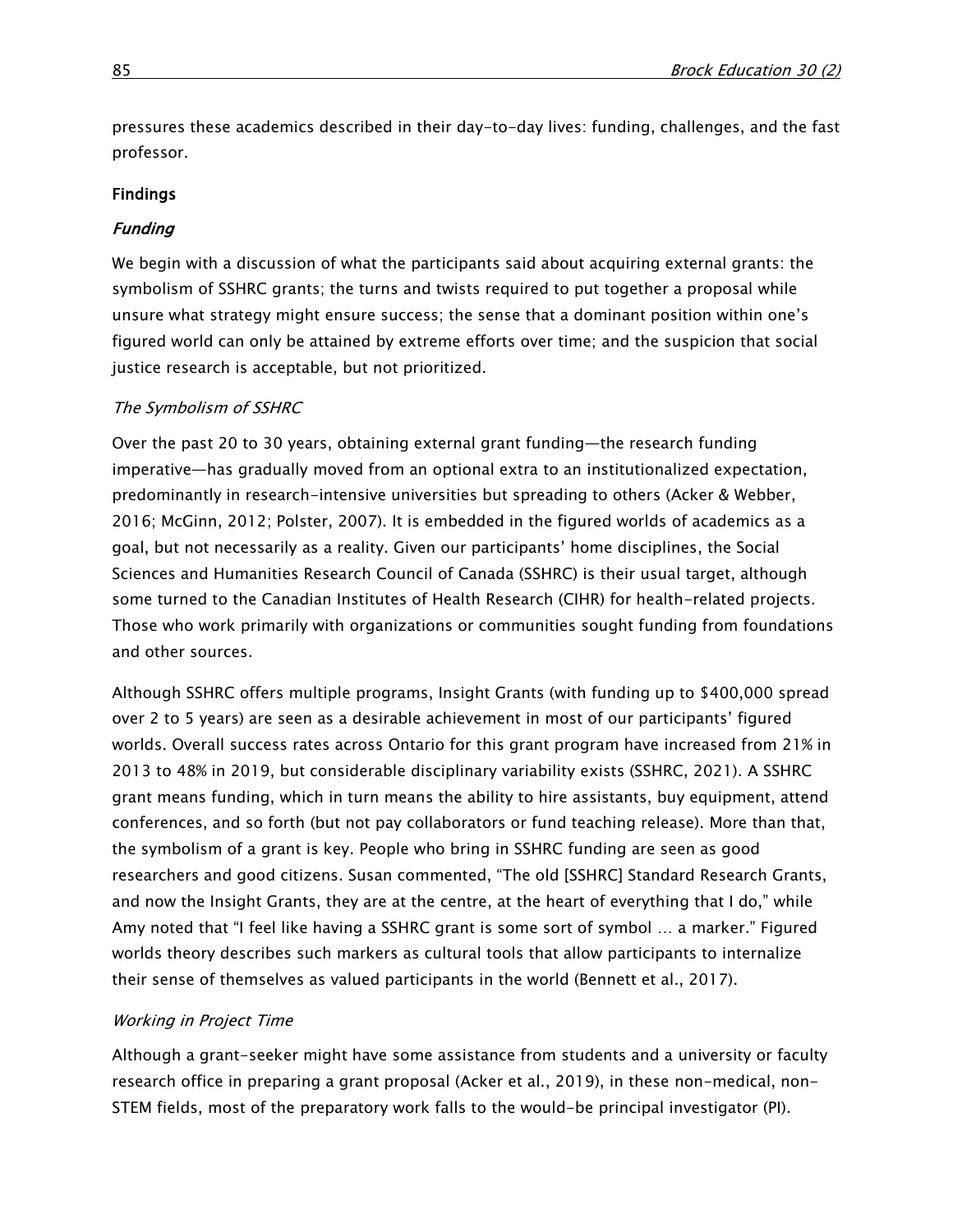pressures these academics described in their day-to-day lives: funding, challenges, and the fast professor.

# Findings

# **Funding**

We begin with a discussion of what the participants said about acquiring external grants: the symbolism of SSHRC grants; the turns and twists required to put together a proposal while unsure what strategy might ensure success; the sense that a dominant position within one's figured world can only be attained by extreme efforts over time; and the suspicion that social justice research is acceptable, but not prioritized.

# The Symbolism of SSHRC

Over the past 20 to 30 years, obtaining external grant funding—the research funding imperative—has gradually moved from an optional extra to an institutionalized expectation, predominantly in research-intensive universities but spreading to others (Acker & Webber, 2016; McGinn, 2012; Polster, 2007). It is embedded in the figured worlds of academics as a goal, but not necessarily as a reality. Given our participants' home disciplines, the Social Sciences and Humanities Research Council of Canada (SSHRC) is their usual target, although some turned to the Canadian Institutes of Health Research (CIHR) for health-related projects. Those who work primarily with organizations or communities sought funding from foundations and other sources.

Although SSHRC offers multiple programs, Insight Grants (with funding up to \$400,000 spread over 2 to 5 years) are seen as a desirable achievement in most of our participants' figured worlds. Overall success rates across Ontario for this grant program have increased from 21% in 2013 to 48% in 2019, but considerable disciplinary variability exists (SSHRC, 2021). A SSHRC grant means funding, which in turn means the ability to hire assistants, buy equipment, attend conferences, and so forth (but not pay collaborators or fund teaching release). More than that, the symbolism of a grant is key. People who bring in SSHRC funding are seen as good researchers and good citizens. Susan commented, "The old [SSHRC] Standard Research Grants, and now the Insight Grants, they are at the centre, at the heart of everything that I do," while Amy noted that "I feel like having a SSHRC grant is some sort of symbol … a marker." Figured worlds theory describes such markers as cultural tools that allow participants to internalize their sense of themselves as valued participants in the world (Bennett et al., 2017).

# Working in Project Time

Although a grant-seeker might have some assistance from students and a university or faculty research office in preparing a grant proposal (Acker et al., 2019), in these non-medical, non-STEM fields, most of the preparatory work falls to the would-be principal investigator (PI).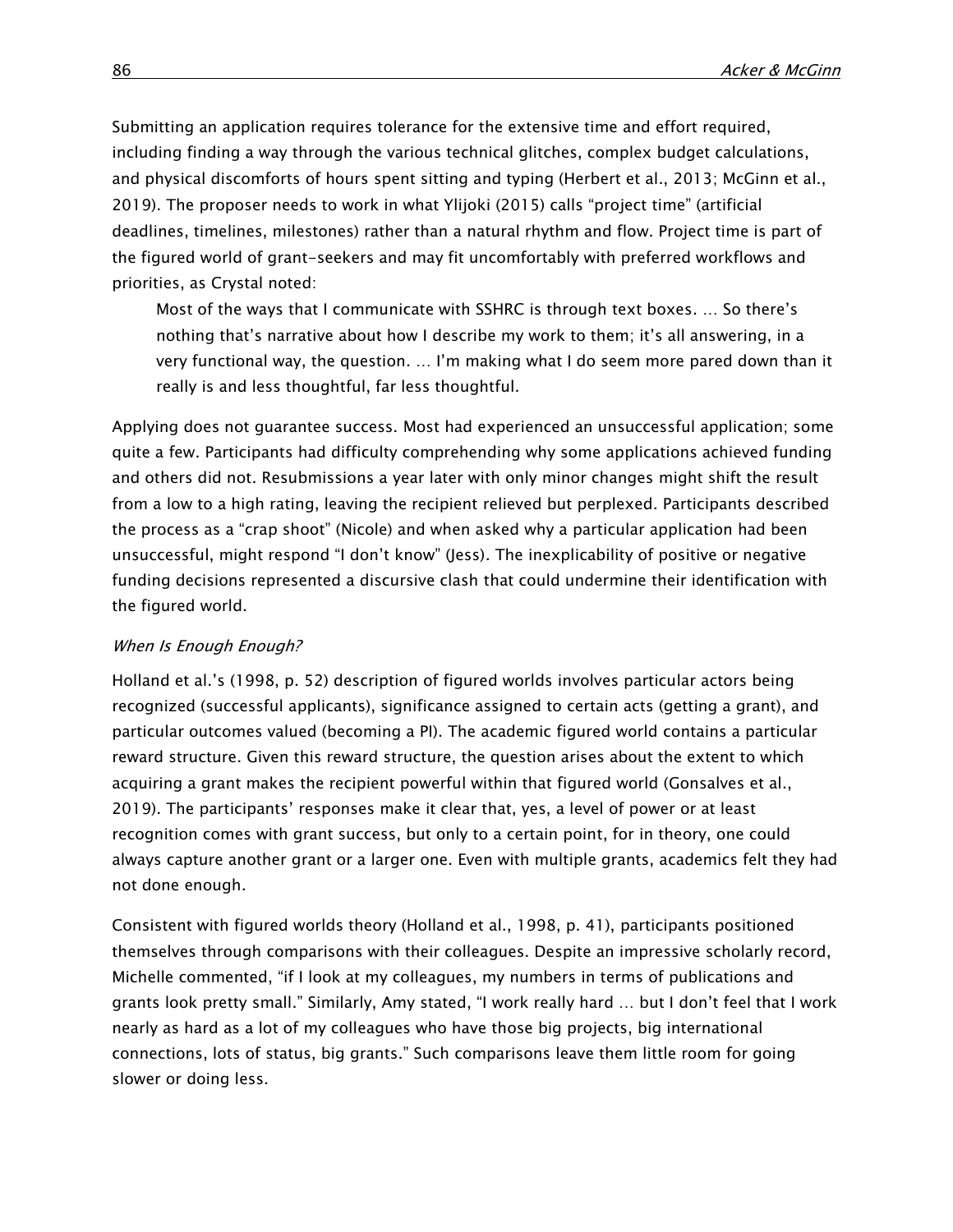Submitting an application requires tolerance for the extensive time and effort required, including finding a way through the various technical glitches, complex budget calculations, and physical discomforts of hours spent sitting and typing (Herbert et al., 2013; McGinn et al., 2019). The proposer needs to work in what Ylijoki (2015) calls "project time" (artificial deadlines, timelines, milestones) rather than a natural rhythm and flow. Project time is part of the figured world of grant-seekers and may fit uncomfortably with preferred workflows and priorities, as Crystal noted:

Most of the ways that I communicate with SSHRC is through text boxes. … So there's nothing that's narrative about how I describe my work to them; it's all answering, in a very functional way, the question. … I'm making what I do seem more pared down than it really is and less thoughtful, far less thoughtful.

Applying does not guarantee success. Most had experienced an unsuccessful application; some quite a few. Participants had difficulty comprehending why some applications achieved funding and others did not. Resubmissions a year later with only minor changes might shift the result from a low to a high rating, leaving the recipient relieved but perplexed. Participants described the process as a "crap shoot" (Nicole) and when asked why a particular application had been unsuccessful, might respond "I don't know" (Jess). The inexplicability of positive or negative funding decisions represented a discursive clash that could undermine their identification with the figured world.

# When Is Enough Enough?

Holland et al.'s (1998, p. 52) description of figured worlds involves particular actors being recognized (successful applicants), significance assigned to certain acts (getting a grant), and particular outcomes valued (becoming a PI). The academic figured world contains a particular reward structure. Given this reward structure, the question arises about the extent to which acquiring a grant makes the recipient powerful within that figured world (Gonsalves et al., 2019). The participants' responses make it clear that, yes, a level of power or at least recognition comes with grant success, but only to a certain point, for in theory, one could always capture another grant or a larger one. Even with multiple grants, academics felt they had not done enough.

Consistent with figured worlds theory (Holland et al., 1998, p. 41), participants positioned themselves through comparisons with their colleagues. Despite an impressive scholarly record, Michelle commented, "if I look at my colleagues, my numbers in terms of publications and grants look pretty small." Similarly, Amy stated, "I work really hard … but I don't feel that I work nearly as hard as a lot of my colleagues who have those big projects, big international connections, lots of status, big grants." Such comparisons leave them little room for going slower or doing less.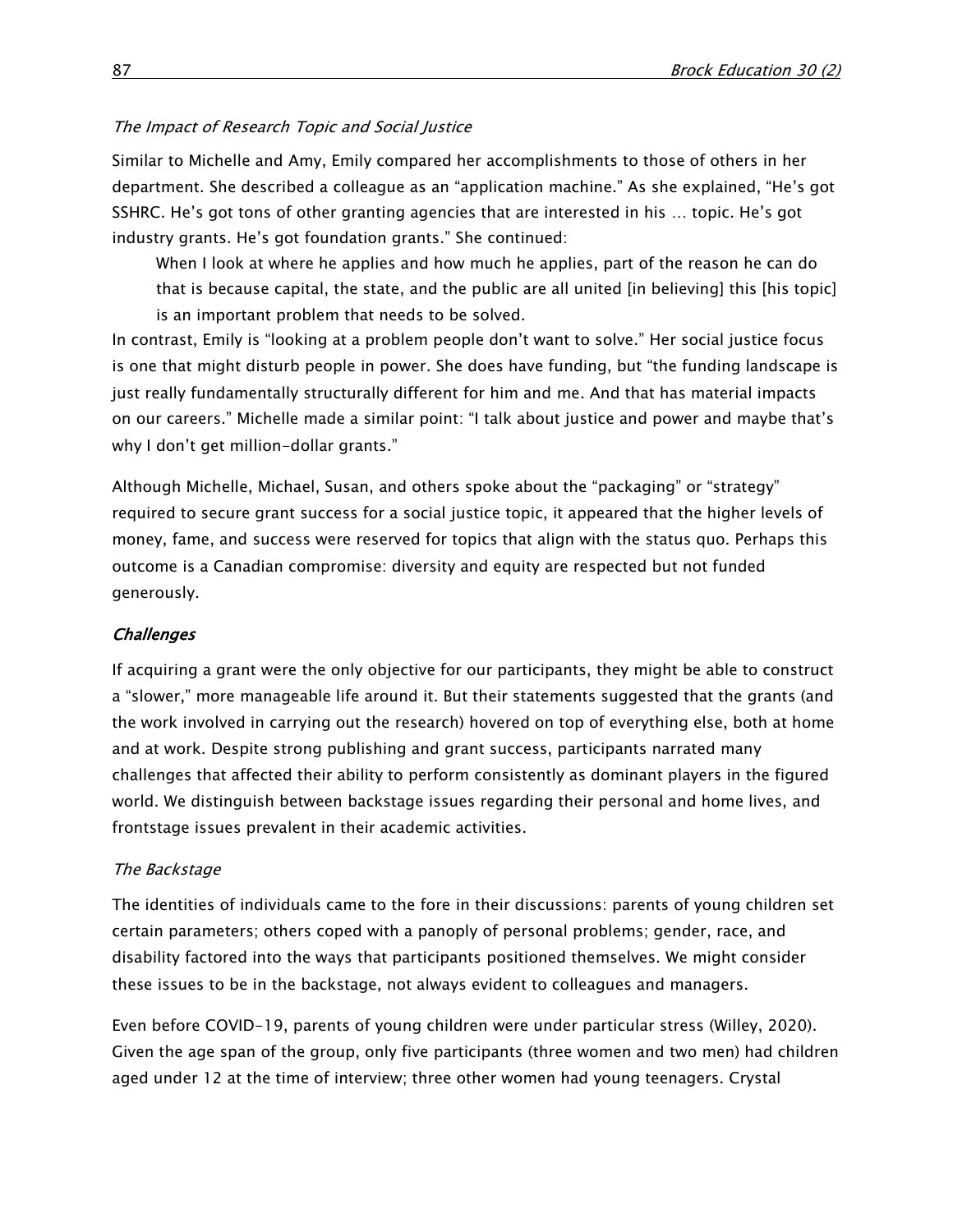#### The Impact of Research Topic and Social Justice

Similar to Michelle and Amy, Emily compared her accomplishments to those of others in her department. She described a colleague as an "application machine." As she explained, "He's got SSHRC. He's got tons of other granting agencies that are interested in his … topic. He's got industry grants. He's got foundation grants." She continued:

When I look at where he applies and how much he applies, part of the reason he can do that is because capital, the state, and the public are all united [in believing] this [his topic] is an important problem that needs to be solved.

In contrast, Emily is "looking at a problem people don't want to solve." Her social justice focus is one that might disturb people in power. She does have funding, but "the funding landscape is just really fundamentally structurally different for him and me. And that has material impacts on our careers." Michelle made a similar point: "I talk about justice and power and maybe that's why I don't get million-dollar grants."

Although Michelle, Michael, Susan, and others spoke about the "packaging" or "strategy" required to secure grant success for a social justice topic, it appeared that the higher levels of money, fame, and success were reserved for topics that align with the status quo. Perhaps this outcome is a Canadian compromise: diversity and equity are respected but not funded generously.

#### **Challenges**

If acquiring a grant were the only objective for our participants, they might be able to construct a "slower," more manageable life around it. But their statements suggested that the grants (and the work involved in carrying out the research) hovered on top of everything else, both at home and at work. Despite strong publishing and grant success, participants narrated many challenges that affected their ability to perform consistently as dominant players in the figured world. We distinguish between backstage issues regarding their personal and home lives, and frontstage issues prevalent in their academic activities.

#### The Backstage

The identities of individuals came to the fore in their discussions: parents of young children set certain parameters; others coped with a panoply of personal problems; gender, race, and disability factored into the ways that participants positioned themselves. We might consider these issues to be in the backstage, not always evident to colleagues and managers.

Even before COVID-19, parents of young children were under particular stress (Willey, 2020). Given the age span of the group, only five participants (three women and two men) had children aged under 12 at the time of interview; three other women had young teenagers. Crystal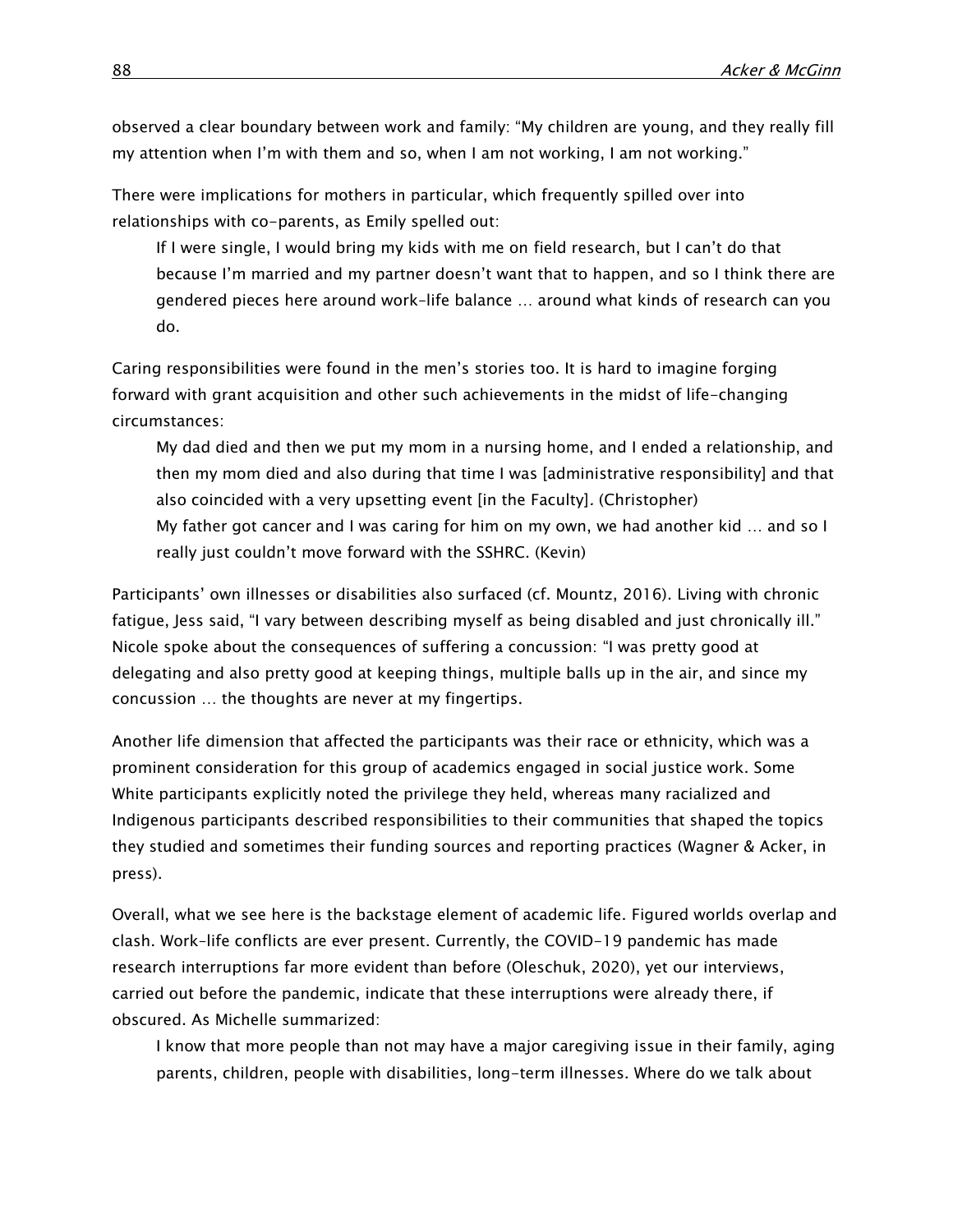observed a clear boundary between work and family: "My children are young, and they really fill my attention when I'm with them and so, when I am not working, I am not working."

There were implications for mothers in particular, which frequently spilled over into relationships with co-parents, as Emily spelled out:

If I were single, I would bring my kids with me on field research, but I can't do that because I'm married and my partner doesn't want that to happen, and so I think there are gendered pieces here around work–life balance … around what kinds of research can you do.

Caring responsibilities were found in the men's stories too. It is hard to imagine forging forward with grant acquisition and other such achievements in the midst of life-changing circumstances:

My dad died and then we put my mom in a nursing home, and I ended a relationship, and then my mom died and also during that time I was [administrative responsibility] and that also coincided with a very upsetting event [in the Faculty]. (Christopher) My father got cancer and I was caring for him on my own, we had another kid … and so I really just couldn't move forward with the SSHRC. (Kevin)

Participants' own illnesses or disabilities also surfaced (cf. Mountz, 2016). Living with chronic fatigue, Jess said, "I vary between describing myself as being disabled and just chronically ill." Nicole spoke about the consequences of suffering a concussion: "I was pretty good at delegating and also pretty good at keeping things, multiple balls up in the air, and since my concussion … the thoughts are never at my fingertips.

Another life dimension that affected the participants was their race or ethnicity, which was a prominent consideration for this group of academics engaged in social justice work. Some White participants explicitly noted the privilege they held, whereas many racialized and Indigenous participants described responsibilities to their communities that shaped the topics they studied and sometimes their funding sources and reporting practices (Wagner & Acker, in press).

Overall, what we see here is the backstage element of academic life. Figured worlds overlap and clash. Work–life conflicts are ever present. Currently, the COVID-19 pandemic has made research interruptions far more evident than before (Oleschuk, 2020), yet our interviews, carried out before the pandemic, indicate that these interruptions were already there, if obscured. As Michelle summarized:

I know that more people than not may have a major caregiving issue in their family, aging parents, children, people with disabilities, long-term illnesses. Where do we talk about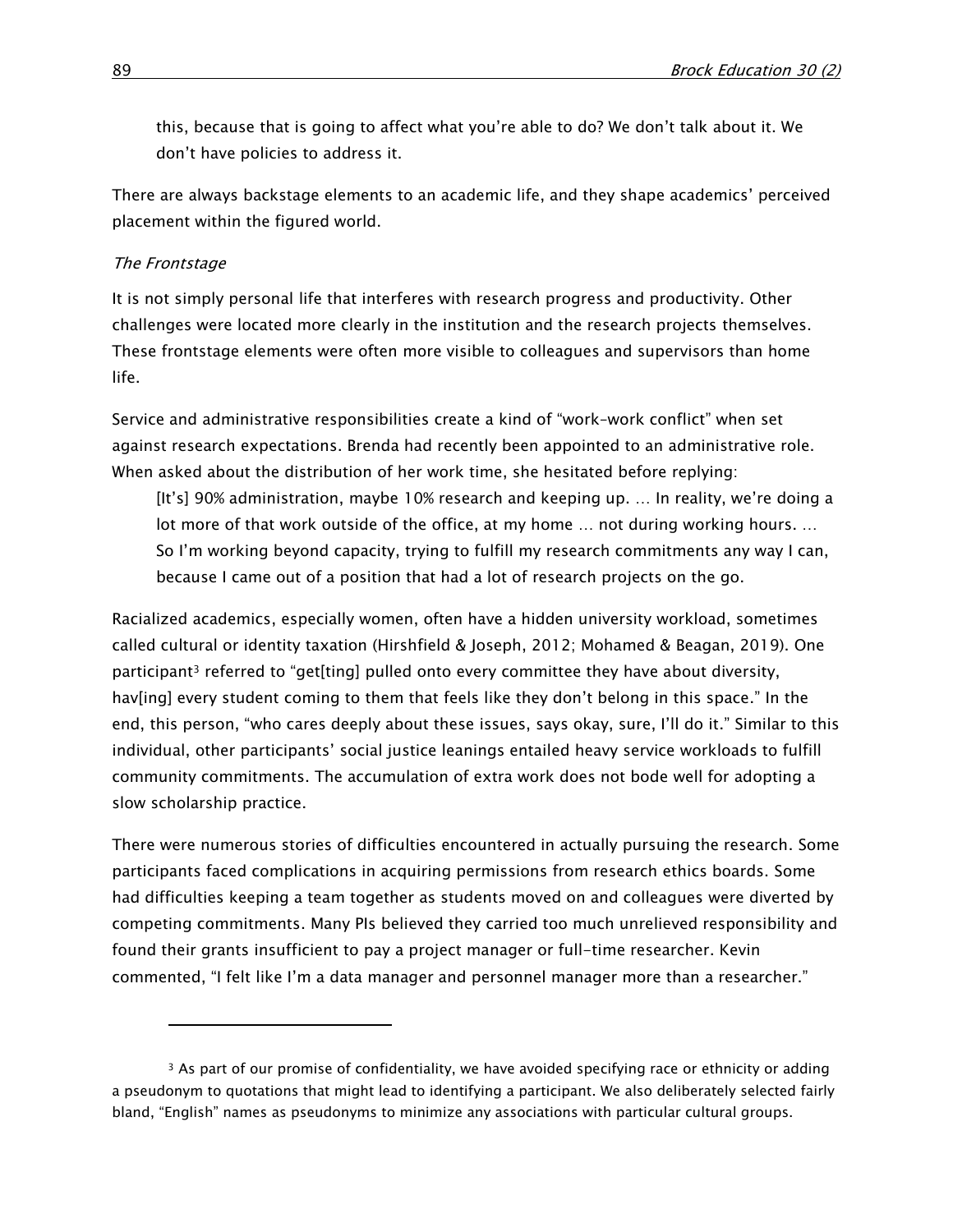this, because that is going to affect what you're able to do? We don't talk about it. We don't have policies to address it.

There are always backstage elements to an academic life, and they shape academics' perceived placement within the figured world.

#### The Frontstage

 $\overline{a}$ 

It is not simply personal life that interferes with research progress and productivity. Other challenges were located more clearly in the institution and the research projects themselves. These frontstage elements were often more visible to colleagues and supervisors than home life.

Service and administrative responsibilities create a kind of "work–work conflict" when set against research expectations. Brenda had recently been appointed to an administrative role. When asked about the distribution of her work time, she hesitated before replying:

[It's] 90% administration, maybe 10% research and keeping up. … In reality, we're doing a lot more of that work outside of the office, at my home … not during working hours. … So I'm working beyond capacity, trying to fulfill my research commitments any way I can, because I came out of a position that had a lot of research projects on the go.

Racialized academics, especially women, often have a hidden university workload, sometimes called cultural or identity taxation (Hirshfield & Joseph, 2012; Mohamed & Beagan, 2019). One participant<sup>3</sup> referred to "get[ting] pulled onto every committee they have about diversity, hav[ing] every student coming to them that feels like they don't belong in this space." In the end, this person, "who cares deeply about these issues, says okay, sure, I'll do it." Similar to this individual, other participants' social justice leanings entailed heavy service workloads to fulfill community commitments. The accumulation of extra work does not bode well for adopting a slow scholarship practice.

There were numerous stories of difficulties encountered in actually pursuing the research. Some participants faced complications in acquiring permissions from research ethics boards. Some had difficulties keeping a team together as students moved on and colleagues were diverted by competing commitments. Many PIs believed they carried too much unrelieved responsibility and found their grants insufficient to pay a project manager or full-time researcher. Kevin commented, "I felt like I'm a data manager and personnel manager more than a researcher."

<sup>&</sup>lt;sup>3</sup> As part of our promise of confidentiality, we have avoided specifying race or ethnicity or adding a pseudonym to quotations that might lead to identifying a participant. We also deliberately selected fairly bland, "English" names as pseudonyms to minimize any associations with particular cultural groups.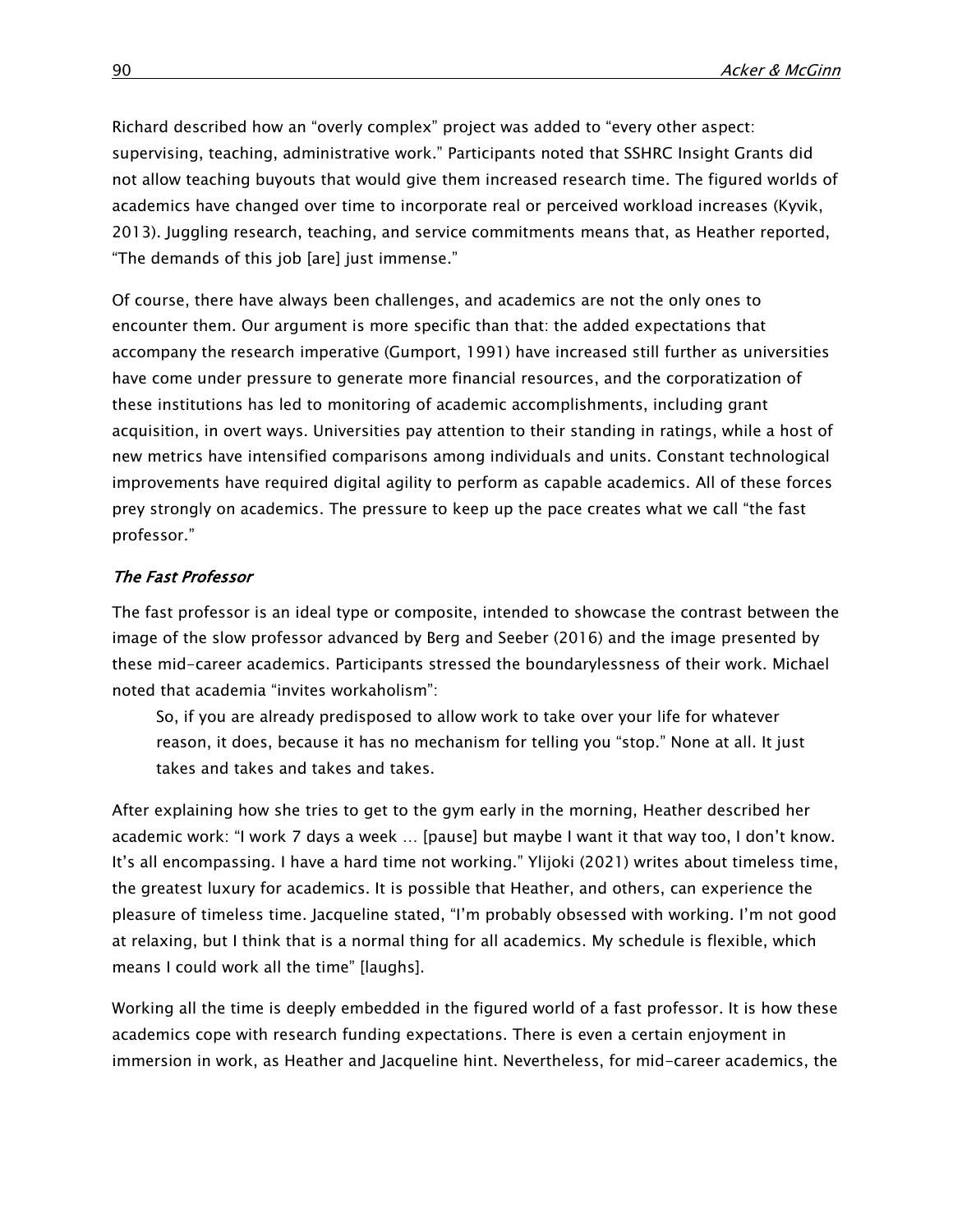Richard described how an "overly complex" project was added to "every other aspect: supervising, teaching, administrative work." Participants noted that SSHRC Insight Grants did not allow teaching buyouts that would give them increased research time. The figured worlds of academics have changed over time to incorporate real or perceived workload increases (Kyvik, 2013). Juggling research, teaching, and service commitments means that, as Heather reported, "The demands of this job [are] just immense."

Of course, there have always been challenges, and academics are not the only ones to encounter them. Our argument is more specific than that: the added expectations that accompany the research imperative (Gumport, 1991) have increased still further as universities have come under pressure to generate more financial resources, and the corporatization of these institutions has led to monitoring of academic accomplishments, including grant acquisition, in overt ways. Universities pay attention to their standing in ratings, while a host of new metrics have intensified comparisons among individuals and units. Constant technological improvements have required digital agility to perform as capable academics. All of these forces prey strongly on academics. The pressure to keep up the pace creates what we call "the fast professor."

# The Fast Professor

The fast professor is an ideal type or composite, intended to showcase the contrast between the image of the slow professor advanced by Berg and Seeber (2016) and the image presented by these mid-career academics. Participants stressed the boundarylessness of their work. Michael noted that academia "invites workaholism":

So, if you are already predisposed to allow work to take over your life for whatever reason, it does, because it has no mechanism for telling you "stop." None at all. It just takes and takes and takes and takes.

After explaining how she tries to get to the gym early in the morning, Heather described her academic work: "I work 7 days a week … [pause] but maybe I want it that way too, I don't know. It's all encompassing. I have a hard time not working." Ylijoki (2021) writes about timeless time, the greatest luxury for academics. It is possible that Heather, and others, can experience the pleasure of timeless time. Jacqueline stated, "I'm probably obsessed with working. I'm not good at relaxing, but I think that is a normal thing for all academics. My schedule is flexible, which means I could work all the time" [laughs].

Working all the time is deeply embedded in the figured world of a fast professor. It is how these academics cope with research funding expectations. There is even a certain enjoyment in immersion in work, as Heather and Jacqueline hint. Nevertheless, for mid-career academics, the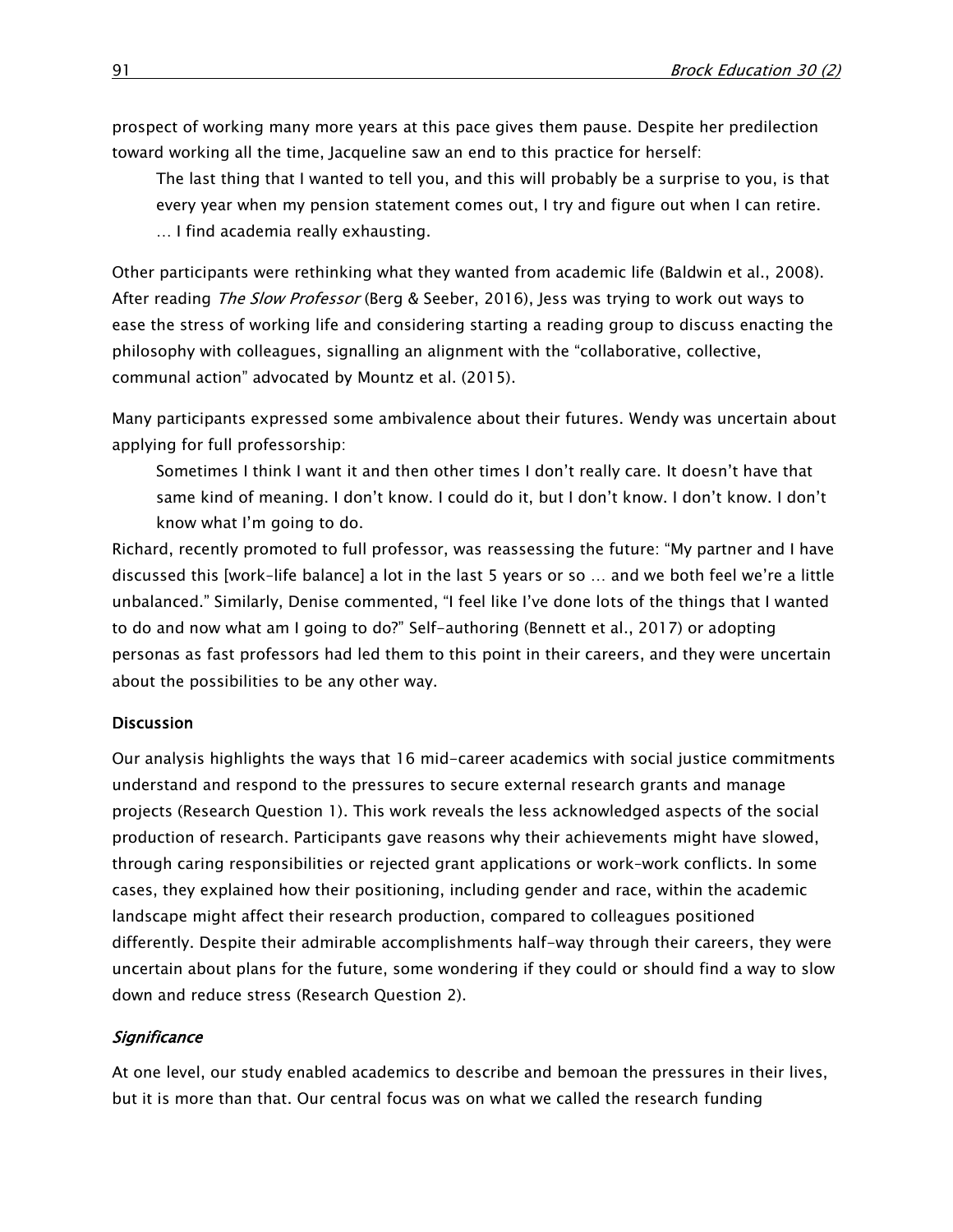prospect of working many more years at this pace gives them pause. Despite her predilection toward working all the time, Jacqueline saw an end to this practice for herself:

The last thing that I wanted to tell you, and this will probably be a surprise to you, is that every year when my pension statement comes out, I try and figure out when I can retire. … I find academia really exhausting.

Other participants were rethinking what they wanted from academic life (Baldwin et al., 2008). After reading The Slow Professor (Berg & Seeber, 2016), Jess was trying to work out ways to ease the stress of working life and considering starting a reading group to discuss enacting the philosophy with colleagues, signalling an alignment with the "collaborative, collective, communal action" advocated by Mountz et al. (2015).

Many participants expressed some ambivalence about their futures. Wendy was uncertain about applying for full professorship:

Sometimes I think I want it and then other times I don't really care. It doesn't have that same kind of meaning. I don't know. I could do it, but I don't know. I don't know. I don't know what I'm going to do.

Richard, recently promoted to full professor, was reassessing the future: "My partner and I have discussed this [work–life balance] a lot in the last 5 years or so … and we both feel we're a little unbalanced." Similarly, Denise commented, "I feel like I've done lots of the things that I wanted to do and now what am I going to do?" Self-authoring (Bennett et al., 2017) or adopting personas as fast professors had led them to this point in their careers, and they were uncertain about the possibilities to be any other way.

# **Discussion**

Our analysis highlights the ways that 16 mid-career academics with social justice commitments understand and respond to the pressures to secure external research grants and manage projects (Research Question 1). This work reveals the less acknowledged aspects of the social production of research. Participants gave reasons why their achievements might have slowed, through caring responsibilities or rejected grant applications or work–work conflicts. In some cases, they explained how their positioning, including gender and race, within the academic landscape might affect their research production, compared to colleagues positioned differently. Despite their admirable accomplishments half-way through their careers, they were uncertain about plans for the future, some wondering if they could or should find a way to slow down and reduce stress (Research Question 2).

# **Significance**

At one level, our study enabled academics to describe and bemoan the pressures in their lives, but it is more than that. Our central focus was on what we called the research funding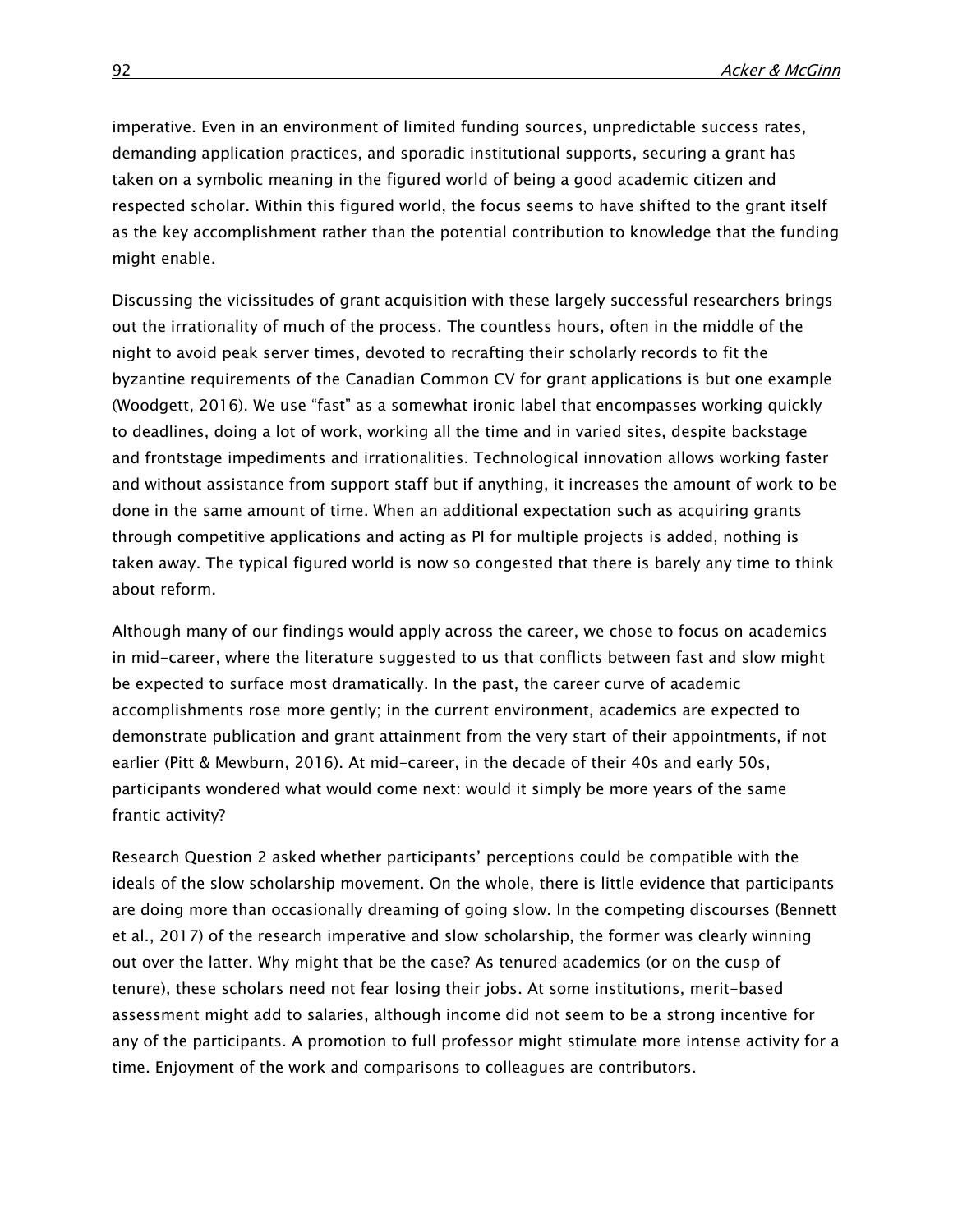imperative. Even in an environment of limited funding sources, unpredictable success rates, demanding application practices, and sporadic institutional supports, securing a grant has taken on a symbolic meaning in the figured world of being a good academic citizen and respected scholar. Within this figured world, the focus seems to have shifted to the grant itself as the key accomplishment rather than the potential contribution to knowledge that the funding might enable.

Discussing the vicissitudes of grant acquisition with these largely successful researchers brings out the irrationality of much of the process. The countless hours, often in the middle of the night to avoid peak server times, devoted to recrafting their scholarly records to fit the byzantine requirements of the Canadian Common CV for grant applications is but one example (Woodgett, 2016). We use "fast" as a somewhat ironic label that encompasses working quickly to deadlines, doing a lot of work, working all the time and in varied sites, despite backstage and frontstage impediments and irrationalities. Technological innovation allows working faster and without assistance from support staff but if anything, it increases the amount of work to be done in the same amount of time. When an additional expectation such as acquiring grants through competitive applications and acting as PI for multiple projects is added, nothing is taken away. The typical figured world is now so congested that there is barely any time to think about reform.

Although many of our findings would apply across the career, we chose to focus on academics in mid-career, where the literature suggested to us that conflicts between fast and slow might be expected to surface most dramatically. In the past, the career curve of academic accomplishments rose more gently; in the current environment, academics are expected to demonstrate publication and grant attainment from the very start of their appointments, if not earlier (Pitt & Mewburn, 2016). At mid-career, in the decade of their 40s and early 50s, participants wondered what would come next: would it simply be more years of the same frantic activity?

Research Question 2 asked whether participants' perceptions could be compatible with the ideals of the slow scholarship movement. On the whole, there is little evidence that participants are doing more than occasionally dreaming of going slow. In the competing discourses (Bennett et al., 2017) of the research imperative and slow scholarship, the former was clearly winning out over the latter. Why might that be the case? As tenured academics (or on the cusp of tenure), these scholars need not fear losing their jobs. At some institutions, merit-based assessment might add to salaries, although income did not seem to be a strong incentive for any of the participants. A promotion to full professor might stimulate more intense activity for a time. Enjoyment of the work and comparisons to colleagues are contributors.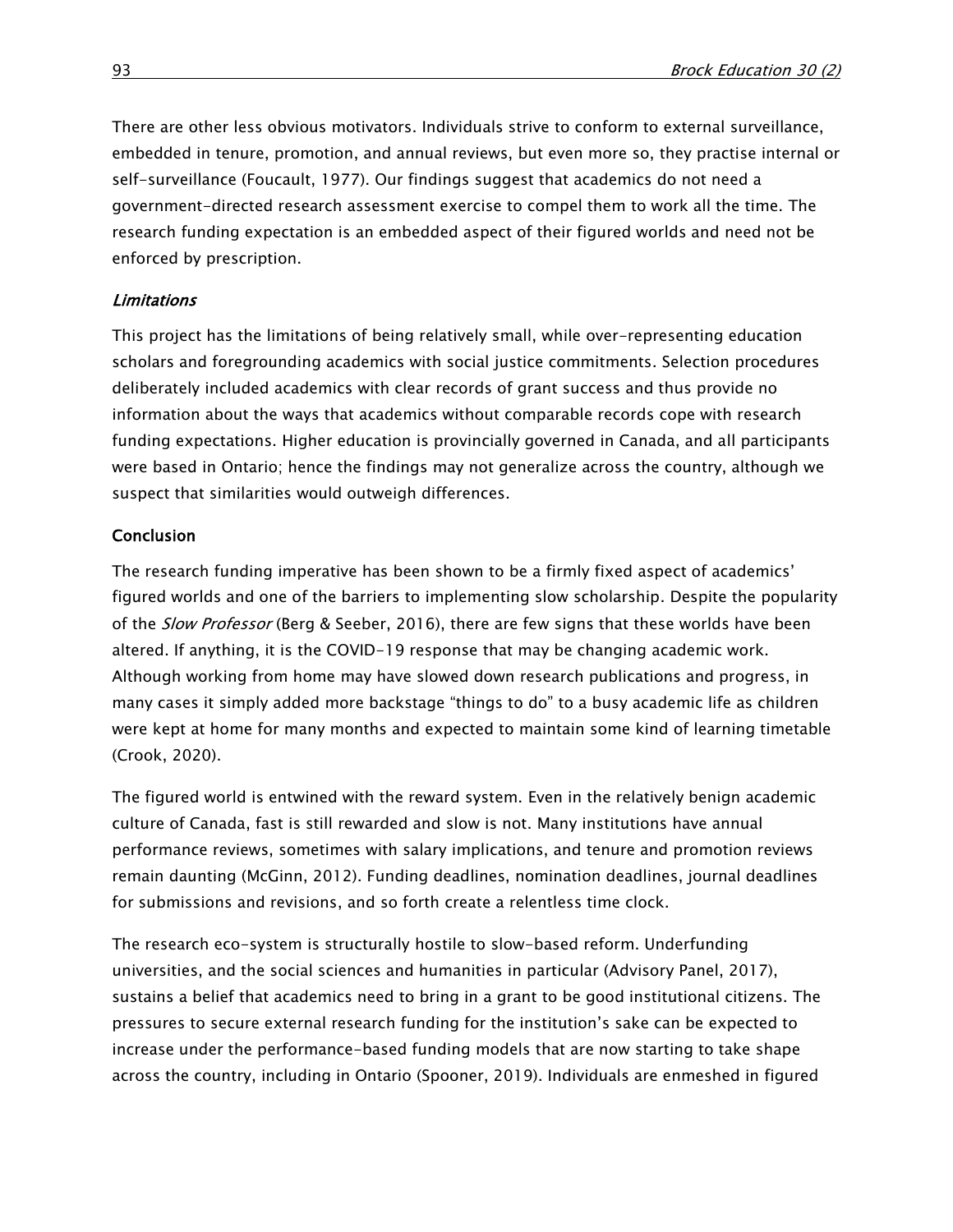There are other less obvious motivators. Individuals strive to conform to external surveillance, embedded in tenure, promotion, and annual reviews, but even more so, they practise internal or self-surveillance (Foucault, 1977). Our findings suggest that academics do not need a government-directed research assessment exercise to compel them to work all the time. The research funding expectation is an embedded aspect of their figured worlds and need not be enforced by prescription.

#### Limitations

This project has the limitations of being relatively small, while over-representing education scholars and foregrounding academics with social justice commitments. Selection procedures deliberately included academics with clear records of grant success and thus provide no information about the ways that academics without comparable records cope with research funding expectations. Higher education is provincially governed in Canada, and all participants were based in Ontario; hence the findings may not generalize across the country, although we suspect that similarities would outweigh differences.

#### **Conclusion**

The research funding imperative has been shown to be a firmly fixed aspect of academics' figured worlds and one of the barriers to implementing slow scholarship. Despite the popularity of the Slow Professor (Berg & Seeber, 2016), there are few signs that these worlds have been altered. If anything, it is the COVID-19 response that may be changing academic work. Although working from home may have slowed down research publications and progress, in many cases it simply added more backstage "things to do" to a busy academic life as children were kept at home for many months and expected to maintain some kind of learning timetable (Crook, 2020).

The figured world is entwined with the reward system. Even in the relatively benign academic culture of Canada, fast is still rewarded and slow is not. Many institutions have annual performance reviews, sometimes with salary implications, and tenure and promotion reviews remain daunting (McGinn, 2012). Funding deadlines, nomination deadlines, journal deadlines for submissions and revisions, and so forth create a relentless time clock.

The research eco-system is structurally hostile to slow-based reform. Underfunding universities, and the social sciences and humanities in particular (Advisory Panel, 2017), sustains a belief that academics need to bring in a grant to be good institutional citizens. The pressures to secure external research funding for the institution's sake can be expected to increase under the performance-based funding models that are now starting to take shape across the country, including in Ontario (Spooner, 2019). Individuals are enmeshed in figured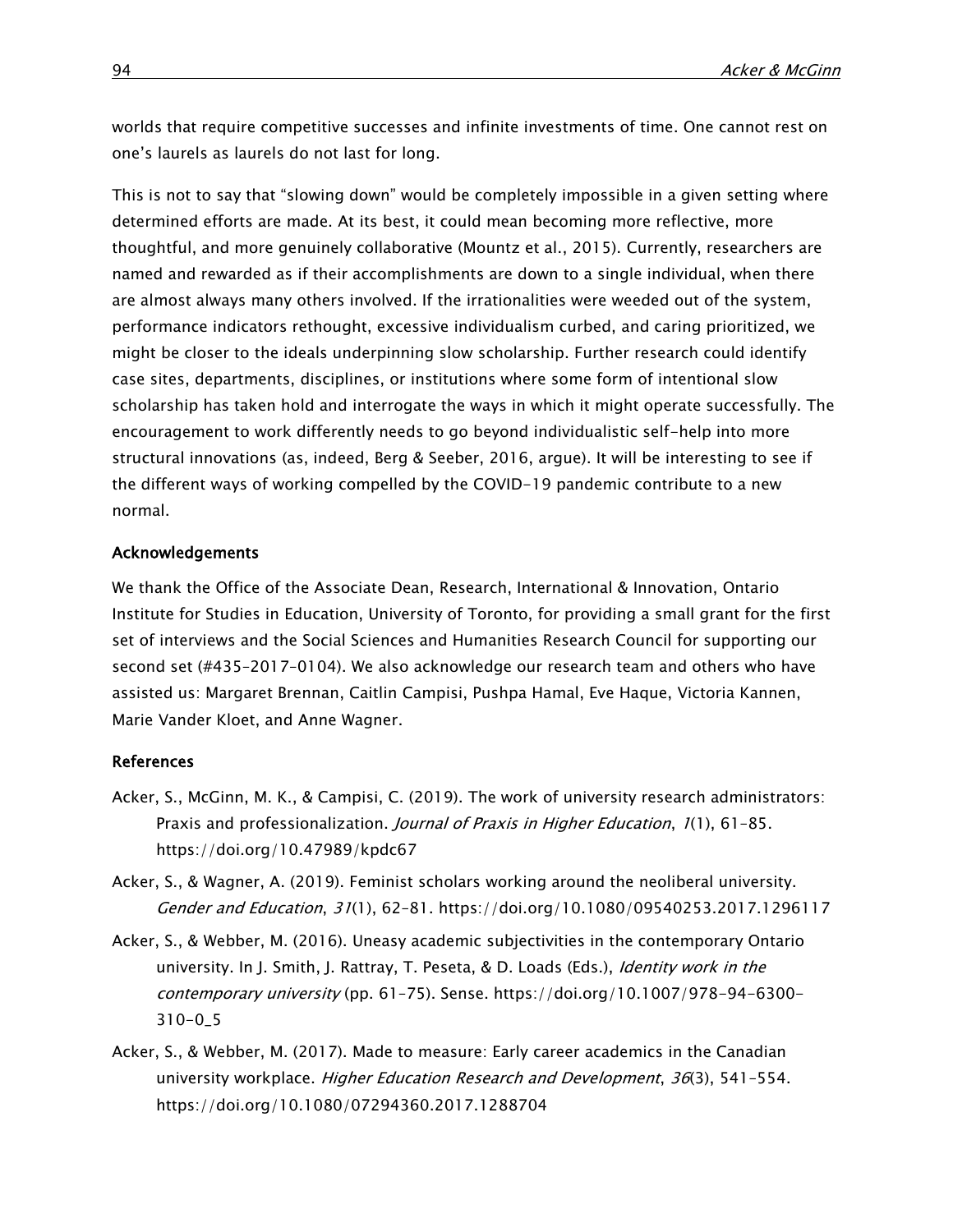worlds that require competitive successes and infinite investments of time. One cannot rest on one's laurels as laurels do not last for long.

This is not to say that "slowing down" would be completely impossible in a given setting where determined efforts are made. At its best, it could mean becoming more reflective, more thoughtful, and more genuinely collaborative (Mountz et al., 2015). Currently, researchers are named and rewarded as if their accomplishments are down to a single individual, when there are almost always many others involved. If the irrationalities were weeded out of the system, performance indicators rethought, excessive individualism curbed, and caring prioritized, we might be closer to the ideals underpinning slow scholarship. Further research could identify case sites, departments, disciplines, or institutions where some form of intentional slow scholarship has taken hold and interrogate the ways in which it might operate successfully. The encouragement to work differently needs to go beyond individualistic self-help into more structural innovations (as, indeed, Berg & Seeber, 2016, argue). It will be interesting to see if the different ways of working compelled by the COVID-19 pandemic contribute to a new normal.

#### Acknowledgements

We thank the Office of the Associate Dean, Research, International & Innovation, Ontario Institute for Studies in Education, University of Toronto, for providing a small grant for the first set of interviews and the Social Sciences and Humanities Research Council for supporting our second set (#435–2017–0104). We also acknowledge our research team and others who have assisted us: Margaret Brennan, Caitlin Campisi, Pushpa Hamal, Eve Haque, Victoria Kannen, Marie Vander Kloet, and Anne Wagner.

#### References

- Acker, S., McGinn, M. K., & Campisi, C. (2019). The work of university research administrators: Praxis and professionalization. Journal of Praxis in Higher Education, 1(1), 61-85. <https://doi.org/10.47989/kpdc67>
- Acker, S., & Wagner, A. (2019). Feminist scholars working around the neoliberal university. Gender and Education, 31(1), 62–81.<https://doi.org/10.1080/09540253.2017.1296117>
- Acker, S., & Webber, M. (2016). Uneasy academic subjectivities in the contemporary Ontario university. In J. Smith, J. Rattray, T. Peseta, & D. Loads (Eds.), Identity work in the contemporary university (pp. 61–75). Sense. [https://doi.org/10.1007/978-94-6300-](https://doi.org/10.1007/978-94-6300-310-0_5) [310-0\\_5](https://doi.org/10.1007/978-94-6300-310-0_5)
- Acker, S., & Webber, M. (2017). Made to measure: Early career academics in the Canadian university workplace. Higher Education Research and Development, 36(3), 541-554. <https://doi.org/10.1080/07294360.2017.1288704>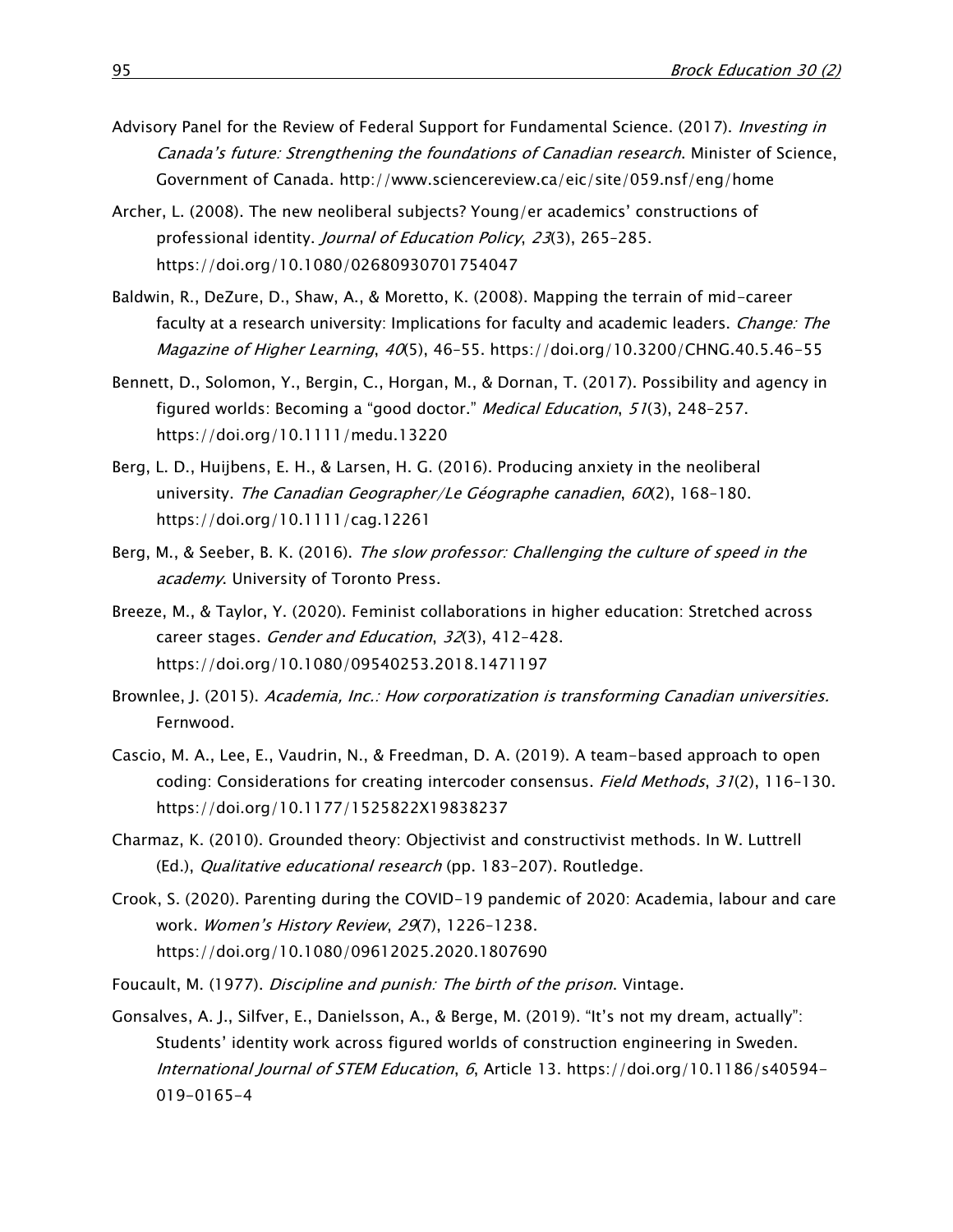- Advisory Panel for the Review of Federal Support for Fundamental Science. (2017). *Investing in* Canada's future: Strengthening the foundations of Canadian research. Minister of Science, Government of Canada.<http://www.sciencereview.ca/eic/site/059.nsf/eng/home>
- Archer, L. (2008). The new neoliberal subjects? Young/er academics' constructions of professional identity. Journal of Education Policy, 23(3), 265–285. <https://doi.org/10.1080/02680930701754047>
- Baldwin, R., DeZure, D., Shaw, A., & Moretto, K. (2008). Mapping the terrain of mid-career faculty at a research university: Implications for faculty and academic leaders. *Change: The* Magazine of Higher Learning, 40(5), 46–55.<https://doi.org/10.3200/CHNG.40.5.46-55>
- Bennett, D., Solomon, Y., Bergin, C., Horgan, M., & Dornan, T. (2017). Possibility and agency in figured worlds: Becoming a "good doctor." Medical Education, 51(3), 248–257. <https://doi.org/10.1111/medu.13220>
- Berg, L. D., Huijbens, E. H., & Larsen, H. G. (2016). Producing anxiety in the neoliberal university. The Canadian Geographer/Le Géographe canadien, 60(2), 168-180. <https://doi.org/10.1111/cag.12261>
- Berg, M., & Seeber, B. K. (2016). The slow professor: Challenging the culture of speed in the academy. University of Toronto Press.
- Breeze, M., & Taylor, Y. (2020). Feminist collaborations in higher education: Stretched across career stages. Gender and Education, 32(3), 412–428. <https://doi.org/10.1080/09540253.2018.1471197>
- Brownlee, J. (2015). Academia, Inc.: How corporatization is transforming Canadian universities. Fernwood.
- Cascio, M. A., Lee, E., Vaudrin, N., & Freedman, D. A. (2019). A team-based approach to open coding: Considerations for creating intercoder consensus. Field Methods, 31(2), 116-130. <https://doi.org/10.1177/1525822X19838237>
- Charmaz, K. (2010). Grounded theory: Objectivist and constructivist methods. In W. Luttrell (Ed.), Qualitative educational research (pp. 183-207). Routledge.
- Crook, S. (2020). Parenting during the COVID-19 pandemic of 2020: Academia, labour and care work. Women's History Review, 29(7), 1226–1238. <https://doi.org/10.1080/09612025.2020.1807690>
- Foucault, M. (1977). Discipline and punish: The birth of the prison. Vintage.
- Gonsalves, A. J., Silfver, E., Danielsson, A., & Berge, M. (2019). "It's not my dream, actually": Students' identity work across figured worlds of construction engineering in Sweden. International Journal of STEM Education, 6, Article 13. [https://doi.org/10.1186/s40594-](https://doi.org/10.1186/s40594-019-0165-4) [019-0165-4](https://doi.org/10.1186/s40594-019-0165-4)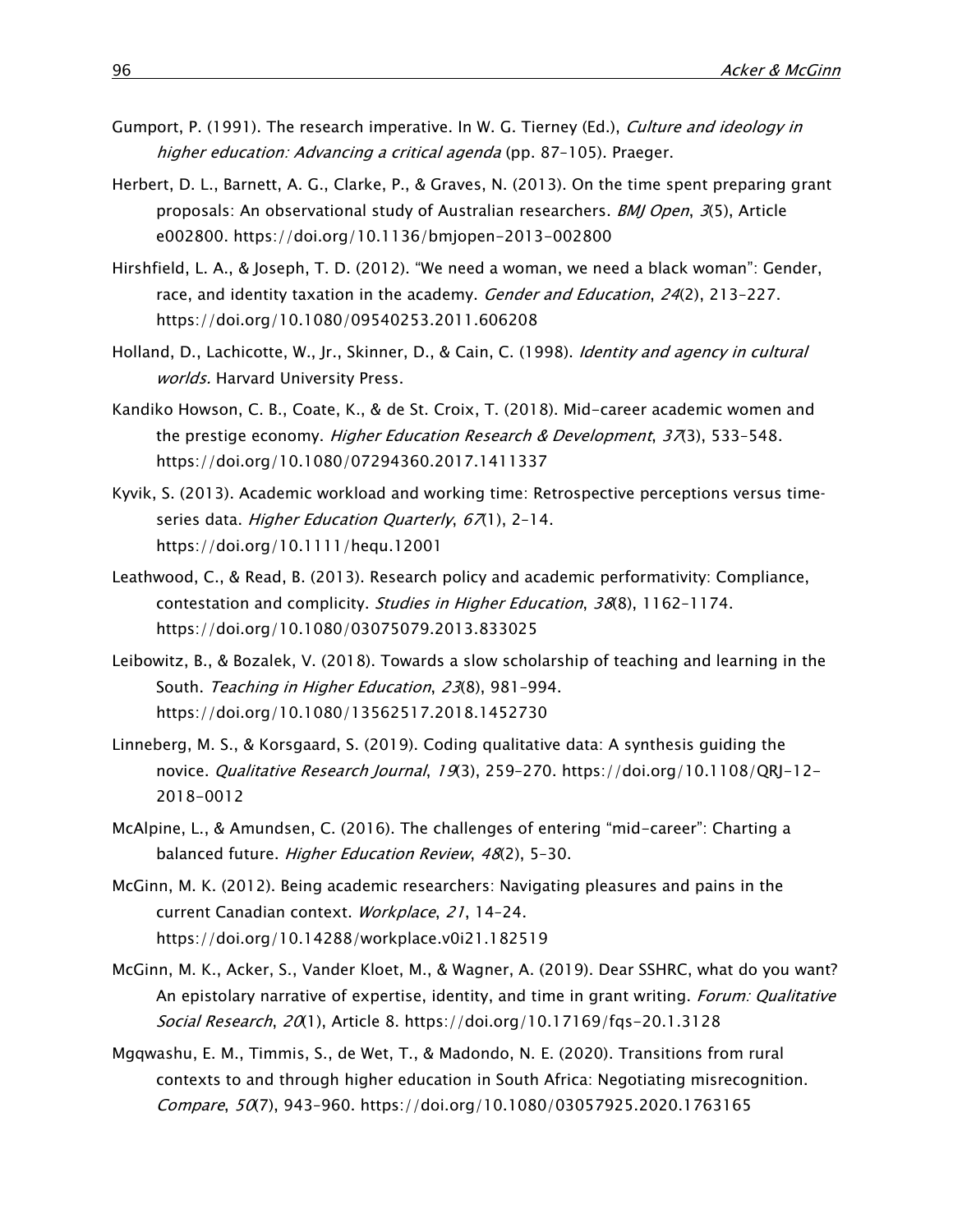- Gumport, P. (1991). The research imperative. In W. G. Tierney (Ed.), Culture and ideology in higher education: Advancing a critical agenda (pp. 87-105). Praeger.
- Herbert, D. L., Barnett, A. G., Clarke, P., & Graves, N. (2013). On the time spent preparing grant proposals: An observational study of Australian researchers. BMJ Open, 3(5), Article e002800.<https://doi.org/10.1136/bmjopen-2013-002800>
- Hirshfield, L. A., & Joseph, T. D. (2012). "We need a woman, we need a black woman": Gender, race, and identity taxation in the academy. Gender and Education, 24(2), 213-227. <https://doi.org/10.1080/09540253.2011.606208>
- Holland, D., Lachicotte, W., Jr., Skinner, D., & Cain, C. (1998). *Identity and agency in cultural* worlds. Harvard University Press.
- Kandiko Howson, C. B., Coate, K., & de St. Croix, T. (2018). Mid-career academic women and the prestige economy. Higher Education Research & Development, 37(3), 533-548. <https://doi.org/10.1080/07294360.2017.1411337>
- Kyvik, S. (2013). Academic workload and working time: Retrospective perceptions versus time‐ series data. Higher Education Quarterly, 67(1), 2-14. <https://doi.org/10.1111/hequ.12001>
- Leathwood, C., & Read, B. (2013). Research policy and academic performativity: Compliance, contestation and complicity. Studies in Higher Education, 38(8), 1162–1174. <https://doi.org/10.1080/03075079.2013.833025>
- Leibowitz, B., & Bozalek, V. (2018). Towards a slow scholarship of teaching and learning in the South. Teaching in Higher Education, 23(8), 981–994. <https://doi.org/10.1080/13562517.2018.1452730>
- Linneberg, M. S., & Korsgaard, S. (2019). Coding qualitative data: A synthesis guiding the novice. Qualitative Research Journal, 19(3), 259-270. [https://doi.org/10.1108/QRJ-12-](https://doi.org/10.1108/QRJ-12-2018-0012) [2018-0012](https://doi.org/10.1108/QRJ-12-2018-0012)
- McAlpine, L., & Amundsen, C. (2016). The challenges of entering "mid-career": Charting a balanced future. Higher Education Review, 48(2), 5-30.
- McGinn, M. K. (2012). Being academic researchers: Navigating pleasures and pains in the current Canadian context. Workplace, 21, 14–24. <https://doi.org/10.14288/workplace.v0i21.182519>
- McGinn, M. K., Acker, S., Vander Kloet, M., & Wagner, A. (2019). Dear SSHRC, what do you want? An epistolary narrative of expertise, identity, and time in grant writing. Forum: Qualitative Social Research, 20(1), Article 8.<https://doi.org/10.17169/fqs-20.1.3128>
- Mgqwashu, E. M., Timmis, S., de Wet, T., & Madondo, N. E. (2020). Transitions from rural contexts to and through higher education in South Africa: Negotiating misrecognition. Compare, 50(7), 943–960.<https://doi.org/10.1080/03057925.2020.1763165>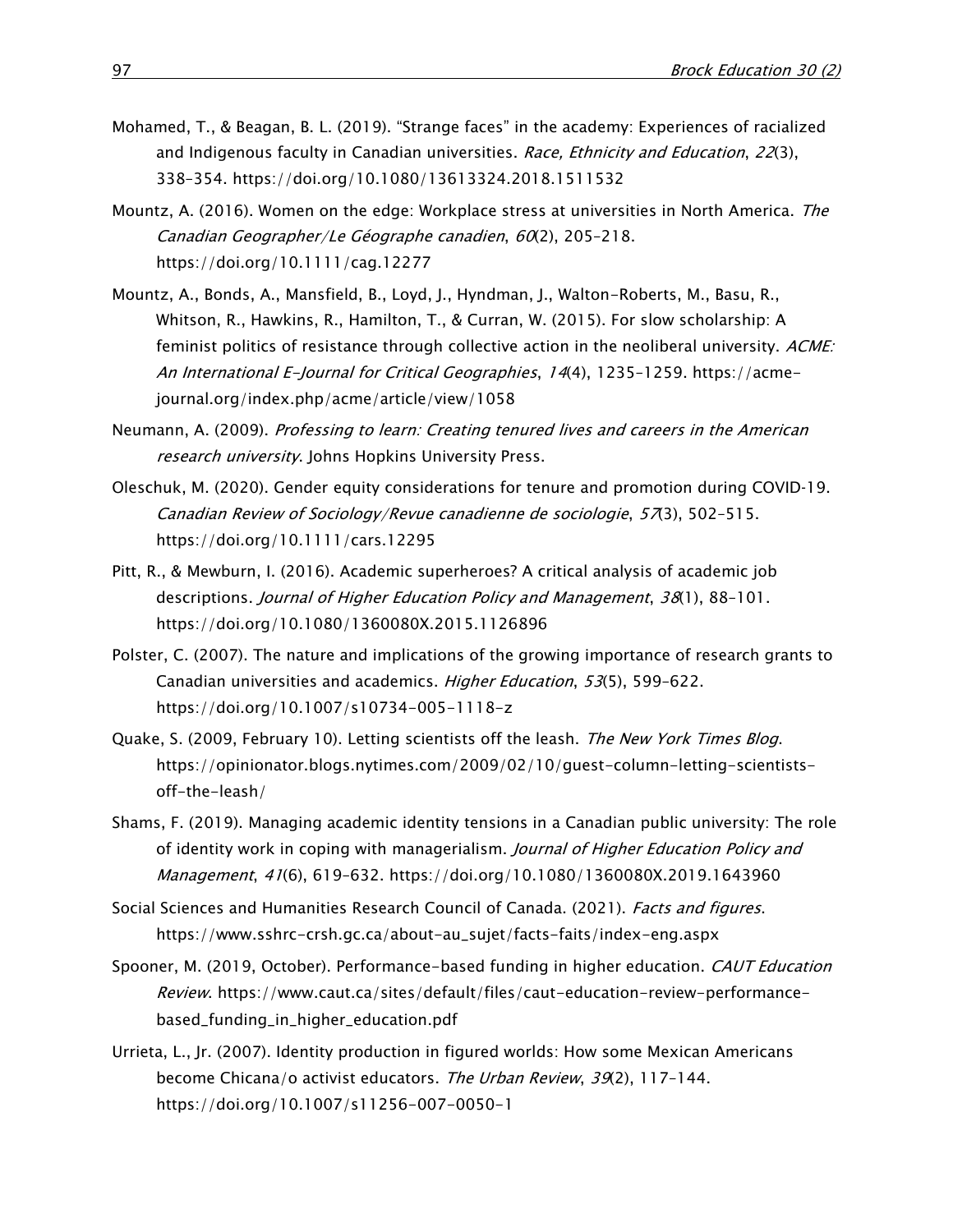- Mohamed, T., & Beagan, B. L. (2019). "Strange faces" in the academy: Experiences of racialized and Indigenous faculty in Canadian universities. Race, Ethnicity and Education, 22(3), 338–354.<https://doi.org/10.1080/13613324.2018.1511532>
- Mountz, A. (2016). Women on the edge: Workplace stress at universities in North America. The Canadian Geographer/Le Géographe canadien, 60(2), 205–218. <https://doi.org/10.1111/cag.12277>
- Mountz, A., Bonds, A., Mansfield, B., Loyd, J., Hyndman, J., Walton-Roberts, M., Basu, R., Whitson, R., Hawkins, R., Hamilton, T., & Curran, W. (2015). For slow scholarship: A feminist politics of resistance through collective action in the neoliberal university. ACME: An International E-Journal for Critical Geographies, <sup>14</sup>(4), 1235–1259. [https://acme](https://acme-journal.org/index.php/acme/article/view/1058)[journal.org/index.php/acme/article/view/1058](https://acme-journal.org/index.php/acme/article/view/1058)
- Neumann, A. (2009). Professing to learn: Creating tenured lives and careers in the American research university. Johns Hopkins University Press.
- Oleschuk, M. (2020). Gender equity considerations for tenure and promotion during COVID‐19. Canadian Review of Sociology/Revue canadienne de sociologie, 57(3), 502-515. <https://doi.org/10.1111/cars.12295>
- Pitt, R., & Mewburn, I. (2016). Academic superheroes? A critical analysis of academic job descriptions. Journal of Higher Education Policy and Management, 38(1), 88-101. <https://doi.org/10.1080/1360080X.2015.1126896>
- Polster, C. (2007). The nature and implications of the growing importance of research grants to Canadian universities and academics. Higher Education, 53(5), 599–622. <https://doi.org/10.1007/s10734-005-1118-z>
- Quake, S. (2009, February 10). Letting scientists off the leash. The New York Times Blog. [https://opinionator.blogs.nytimes.com/2009/02/10/guest-column-letting-scientists](https://opinionator.blogs.nytimes.com/2009/02/10/guest-column-letting-scientists-off-the-leash/)[off-the-leash/](https://opinionator.blogs.nytimes.com/2009/02/10/guest-column-letting-scientists-off-the-leash/)
- Shams, F. (2019). Managing academic identity tensions in a Canadian public university: The role of identity work in coping with managerialism. Journal of Higher Education Policy and Management, <sup>41</sup>(6), 619–632.<https://doi.org/10.1080/1360080X.2019.1643960>
- Social Sciences and Humanities Research Council of Canada. (2021). Facts and figures. [https://www.sshrc-crsh.gc.ca/about-au\\_sujet/facts-faits/index-eng.aspx](https://www.sshrc-crsh.gc.ca/about-au_sujet/facts-faits/index-eng.aspx)
- Spooner, M. (2019, October). Performance-based funding in higher education. CAUT Education Review. [https://www.caut.ca/sites/default/files/caut-education-review-performance](https://www.caut.ca/sites/default/files/caut-education-review-performance-based_funding_in_higher_education.pdf)[based\\_funding\\_in\\_higher\\_education.pdf](https://www.caut.ca/sites/default/files/caut-education-review-performance-based_funding_in_higher_education.pdf)
- Urrieta, L., Jr. (2007). Identity production in figured worlds: How some Mexican Americans become Chicana/o activist educators. The Urban Review, 39(2), 117-144. <https://doi.org/10.1007/s11256-007-0050-1>